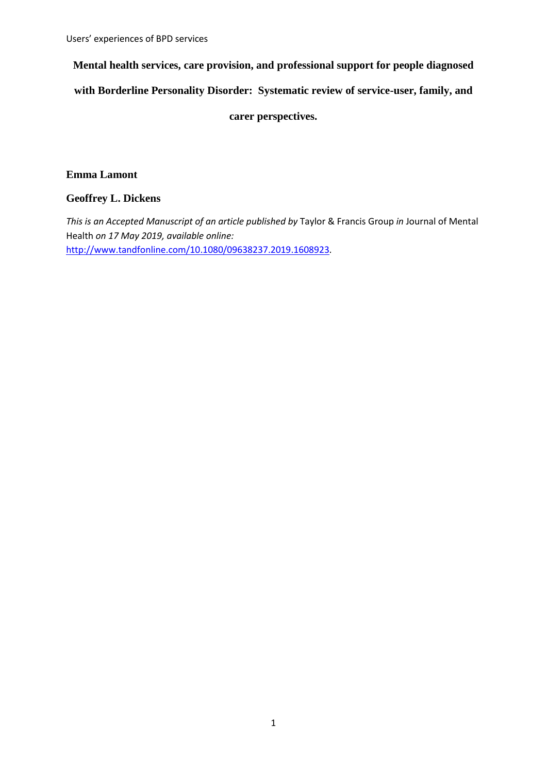**Mental health services, care provision, and professional support for people diagnosed** 

**with Borderline Personality Disorder: Systematic review of service-user, family, and**

**carer perspectives.**

# **Emma Lamont**

# **Geoffrey L. Dickens**

*This is an Accepted Manuscript of an article published by* Taylor & Francis Group *in* Journal of Mental Health *on 17 May 2019, available online:*  <http://www.tandfonline.com/10.1080/09638237.2019.1608923>*.*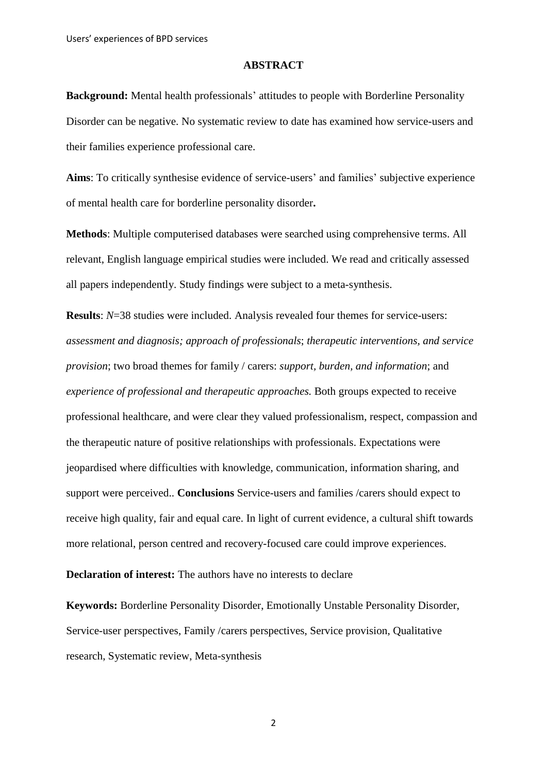### **ABSTRACT**

**Background:** Mental health professionals' attitudes to people with Borderline Personality Disorder can be negative. No systematic review to date has examined how service-users and their families experience professional care.

**Aims**: To critically synthesise evidence of service-users' and families' subjective experience of mental health care for borderline personality disorder**.**

**Methods**: Multiple computerised databases were searched using comprehensive terms. All relevant, English language empirical studies were included. We read and critically assessed all papers independently. Study findings were subject to a meta-synthesis.

**Results**: *N*=38 studies were included. Analysis revealed four themes for service-users: *assessment and diagnosis; approach of professionals*; *therapeutic interventions, and service provision*; two broad themes for family / carers: *support, burden, and information*; and *experience of professional and therapeutic approaches.* Both groups expected to receive professional healthcare, and were clear they valued professionalism, respect, compassion and the therapeutic nature of positive relationships with professionals. Expectations were jeopardised where difficulties with knowledge, communication, information sharing, and support were perceived.. **Conclusions** Service-users and families /carers should expect to receive high quality, fair and equal care. In light of current evidence, a cultural shift towards more relational, person centred and recovery-focused care could improve experiences.

**Declaration of interest:** The authors have no interests to declare

**Keywords:** Borderline Personality Disorder, Emotionally Unstable Personality Disorder, Service-user perspectives, Family /carers perspectives, Service provision, Qualitative research, Systematic review, Meta-synthesis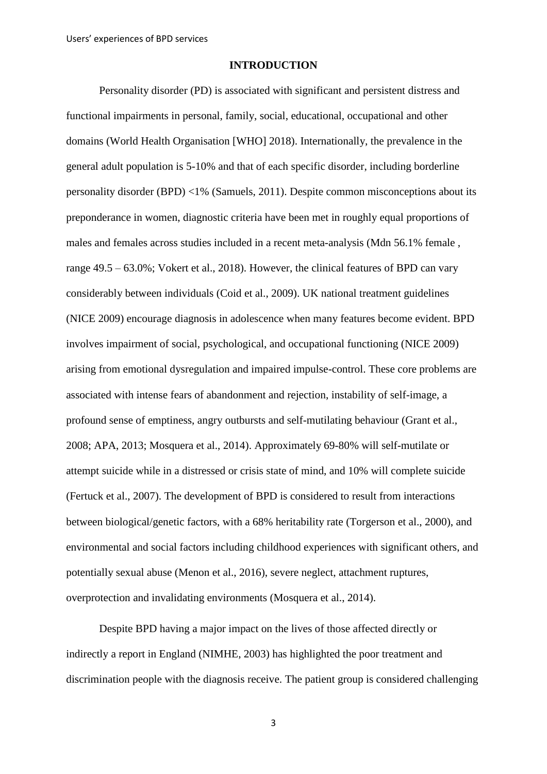## **INTRODUCTION**

Personality disorder (PD) is associated with significant and persistent distress and functional impairments in personal, family, social, educational, occupational and other domains (World Health Organisation [WHO] 2018). Internationally, the prevalence in the general adult population is 5-10% and that of each specific disorder, including borderline personality disorder (BPD) <1% (Samuels, 2011). Despite common misconceptions about its preponderance in women, diagnostic criteria have been met in roughly equal proportions of males and females across studies included in a recent meta-analysis (Mdn 56.1% female , range 49.5 – 63.0%; Vokert et al., 2018). However, the clinical features of BPD can vary considerably between individuals (Coid et al., 2009). UK national treatment guidelines (NICE 2009) encourage diagnosis in adolescence when many features become evident. BPD involves impairment of social, psychological, and occupational functioning (NICE 2009) arising from emotional dysregulation and impaired impulse-control. These core problems are associated with intense fears of abandonment and rejection, instability of self-image, a profound sense of emptiness, angry outbursts and self-mutilating behaviour (Grant et al., 2008; APA, 2013; Mosquera et al., 2014). Approximately 69-80% will self-mutilate or attempt suicide while in a distressed or crisis state of mind, and 10% will complete suicide (Fertuck et al., 2007). The development of BPD is considered to result from interactions between biological/genetic factors, with a 68% heritability rate (Torgerson et al., 2000), and environmental and social factors including childhood experiences with significant others, and potentially sexual abuse (Menon et al., 2016), severe neglect, attachment ruptures, overprotection and invalidating environments (Mosquera et al., 2014).

Despite BPD having a major impact on the lives of those affected directly or indirectly a report in England (NIMHE, 2003) has highlighted the poor treatment and discrimination people with the diagnosis receive. The patient group is considered challenging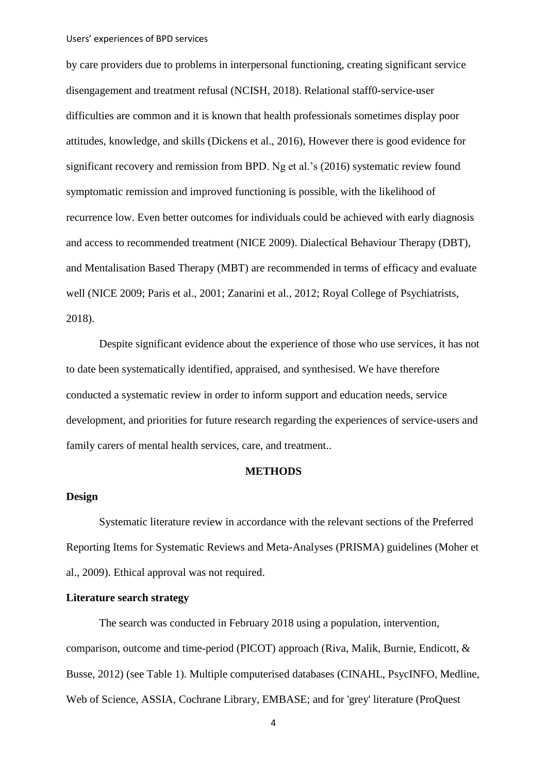by care providers due to problems in interpersonal functioning, creating significant service disengagement and treatment refusal (NCISH, 2018). Relational staff0-service-user difficulties are common and it is known that health professionals sometimes display poor attitudes, knowledge, and skills (Dickens et al., 2016), However there is good evidence for significant recovery and remission from BPD. Ng et al.'s (2016) systematic review found symptomatic remission and improved functioning is possible, with the likelihood of recurrence low. Even better outcomes for individuals could be achieved with early diagnosis and access to recommended treatment (NICE 2009). Dialectical Behaviour Therapy (DBT), and Mentalisation Based Therapy (MBT) are recommended in terms of efficacy and evaluate well (NICE 2009; Paris et al., 2001; Zanarini et al., 2012; Royal College of Psychiatrists, 2018).

Despite significant evidence about the experience of those who use services, it has not to date been systematically identified, appraised, and synthesised. We have therefore conducted a systematic review in order to inform support and education needs, service development, and priorities for future research regarding the experiences of service-users and family carers of mental health services, care, and treatment..

## **METHODS**

## **Design**

Systematic literature review in accordance with the relevant sections of the Preferred Reporting Items for Systematic Reviews and Meta-Analyses (PRISMA) guidelines (Moher et al., 2009). Ethical approval was not required.

## **Literature search strategy**

The search was conducted in February 2018 using a population, intervention, comparison, outcome and time-period (PICOT) approach (Riva, Malik, Burnie, Endicott, & Busse, 2012) (see Table 1). Multiple computerised databases (CINAHL, PsycINFO, Medline, Web of Science, ASSIA, Cochrane Library, EMBASE; and for 'grey' literature (ProQuest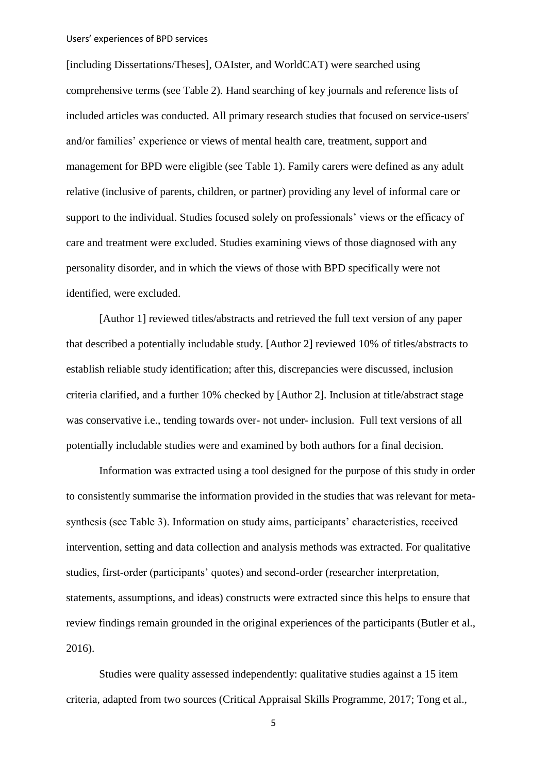[including Dissertations/Theses], OAIster, and WorldCAT) were searched using comprehensive terms (see Table 2). Hand searching of key journals and reference lists of included articles was conducted. All primary research studies that focused on service-users' and/or families' experience or views of mental health care, treatment, support and management for BPD were eligible (see Table 1). Family carers were defined as any adult relative (inclusive of parents, children, or partner) providing any level of informal care or support to the individual. Studies focused solely on professionals' views or the efficacy of care and treatment were excluded. Studies examining views of those diagnosed with any personality disorder, and in which the views of those with BPD specifically were not identified, were excluded.

[Author 1] reviewed titles/abstracts and retrieved the full text version of any paper that described a potentially includable study. [Author 2] reviewed 10% of titles/abstracts to establish reliable study identification; after this, discrepancies were discussed, inclusion criteria clarified, and a further 10% checked by [Author 2]. Inclusion at title/abstract stage was conservative i.e., tending towards over- not under- inclusion. Full text versions of all potentially includable studies were and examined by both authors for a final decision.

Information was extracted using a tool designed for the purpose of this study in order to consistently summarise the information provided in the studies that was relevant for metasynthesis (see Table 3). Information on study aims, participants' characteristics, received intervention, setting and data collection and analysis methods was extracted. For qualitative studies, first-order (participants' quotes) and second-order (researcher interpretation, statements, assumptions, and ideas) constructs were extracted since this helps to ensure that review findings remain grounded in the original experiences of the participants (Butler et al., 2016).

Studies were quality assessed independently: qualitative studies against a 15 item criteria, adapted from two sources (Critical Appraisal Skills Programme, 2017; Tong et al.,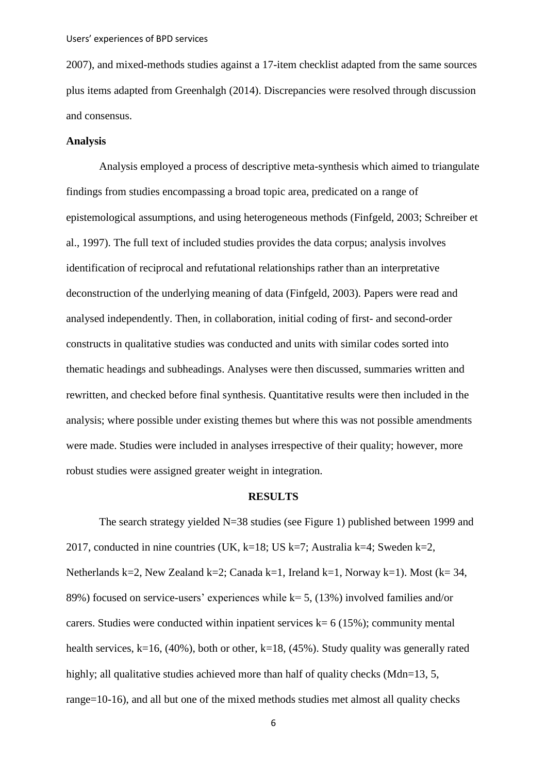2007), and mixed-methods studies against a 17-item checklist adapted from the same sources plus items adapted from Greenhalgh (2014). Discrepancies were resolved through discussion and consensus.

### **Analysis**

Analysis employed a process of descriptive meta-synthesis which aimed to triangulate findings from studies encompassing a broad topic area, predicated on a range of epistemological assumptions, and using heterogeneous methods (Finfgeld, 2003; Schreiber et al., 1997). The full text of included studies provides the data corpus; analysis involves identification of reciprocal and refutational relationships rather than an interpretative deconstruction of the underlying meaning of data (Finfgeld, 2003). Papers were read and analysed independently. Then, in collaboration, initial coding of first- and second-order constructs in qualitative studies was conducted and units with similar codes sorted into thematic headings and subheadings. Analyses were then discussed, summaries written and rewritten, and checked before final synthesis. Quantitative results were then included in the analysis; where possible under existing themes but where this was not possible amendments were made. Studies were included in analyses irrespective of their quality; however, more robust studies were assigned greater weight in integration.

#### **RESULTS**

The search strategy yielded N=38 studies (see Figure 1) published between 1999 and 2017, conducted in nine countries (UK, k=18; US k=7; Australia k=4; Sweden k=2, Netherlands k=2, New Zealand k=2; Canada k=1, Ireland k=1, Norway k=1). Most (k= 34, 89%) focused on service-users' experiences while  $k= 5$ , (13%) involved families and/or carers. Studies were conducted within inpatient services  $k= 6$  (15%); community mental health services,  $k=16$ , (40%), both or other,  $k=18$ , (45%). Study quality was generally rated highly; all qualitative studies achieved more than half of quality checks (Mdn=13, 5, range=10-16), and all but one of the mixed methods studies met almost all quality checks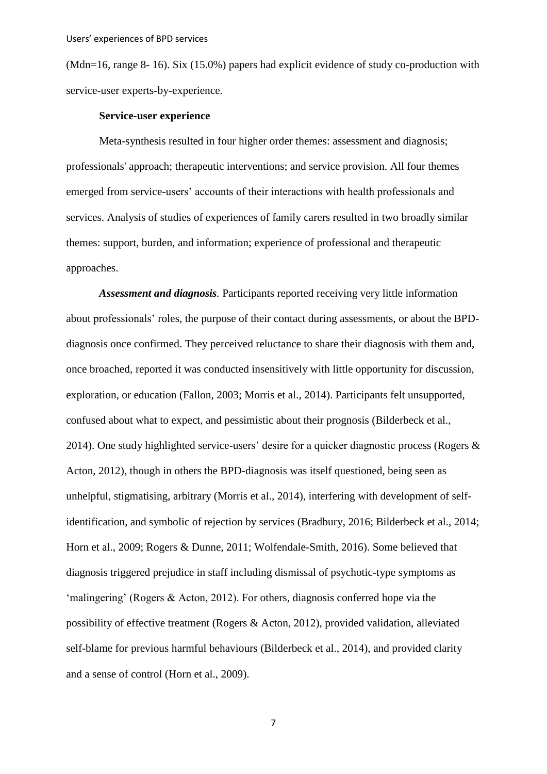(Mdn=16, range 8- 16). Six (15.0%) papers had explicit evidence of study co-production with service-user experts-by-experience.

## **Service-user experience**

Meta-synthesis resulted in four higher order themes: assessment and diagnosis; professionals' approach; therapeutic interventions; and service provision. All four themes emerged from service-users' accounts of their interactions with health professionals and services. Analysis of studies of experiences of family carers resulted in two broadly similar themes: support, burden, and information; experience of professional and therapeutic approaches.

*Assessment and diagnosis.* Participants reported receiving very little information about professionals' roles, the purpose of their contact during assessments, or about the BPDdiagnosis once confirmed. They perceived reluctance to share their diagnosis with them and, once broached, reported it was conducted insensitively with little opportunity for discussion, exploration, or education (Fallon, 2003; Morris et al., 2014). Participants felt unsupported, confused about what to expect, and pessimistic about their prognosis (Bilderbeck et al., 2014). One study highlighted service-users' desire for a quicker diagnostic process (Rogers & Acton, 2012), though in others the BPD-diagnosis was itself questioned, being seen as unhelpful, stigmatising, arbitrary (Morris et al., 2014), interfering with development of selfidentification, and symbolic of rejection by services (Bradbury, 2016; Bilderbeck et al., 2014; Horn et al., 2009; Rogers & Dunne, 2011; Wolfendale-Smith, 2016). Some believed that diagnosis triggered prejudice in staff including dismissal of psychotic-type symptoms as 'malingering' (Rogers & Acton, 2012). For others, diagnosis conferred hope via the possibility of effective treatment (Rogers & Acton, 2012), provided validation, alleviated self-blame for previous harmful behaviours (Bilderbeck et al., 2014), and provided clarity and a sense of control (Horn et al., 2009).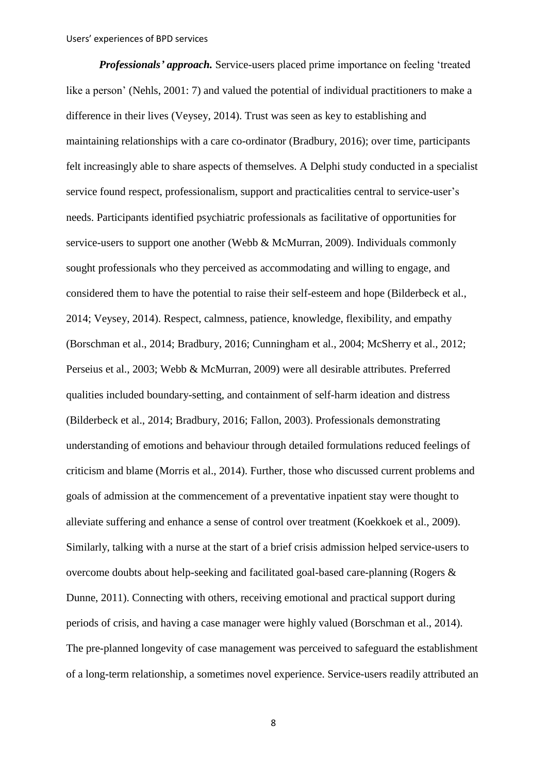*Professionals' approach.* Service-users placed prime importance on feeling 'treated like a person' (Nehls, 2001: 7) and valued the potential of individual practitioners to make a difference in their lives (Veysey, 2014). Trust was seen as key to establishing and maintaining relationships with a care co-ordinator (Bradbury, 2016); over time, participants felt increasingly able to share aspects of themselves. A Delphi study conducted in a specialist service found respect, professionalism, support and practicalities central to service-user's needs. Participants identified psychiatric professionals as facilitative of opportunities for service-users to support one another (Webb & McMurran, 2009). Individuals commonly sought professionals who they perceived as accommodating and willing to engage, and considered them to have the potential to raise their self-esteem and hope (Bilderbeck et al., 2014; Veysey, 2014). Respect, calmness, patience, knowledge, flexibility, and empathy (Borschman et al., 2014; Bradbury, 2016; Cunningham et al., 2004; McSherry et al., 2012; Perseius et al., 2003; Webb & McMurran, 2009) were all desirable attributes. Preferred qualities included boundary-setting, and containment of self-harm ideation and distress (Bilderbeck et al., 2014; Bradbury, 2016; Fallon, 2003). Professionals demonstrating understanding of emotions and behaviour through detailed formulations reduced feelings of criticism and blame (Morris et al., 2014). Further, those who discussed current problems and goals of admission at the commencement of a preventative inpatient stay were thought to alleviate suffering and enhance a sense of control over treatment (Koekkoek et al., 2009). Similarly, talking with a nurse at the start of a brief crisis admission helped service-users to overcome doubts about help-seeking and facilitated goal-based care-planning (Rogers & Dunne, 2011). Connecting with others, receiving emotional and practical support during periods of crisis, and having a case manager were highly valued (Borschman et al., 2014). The pre-planned longevity of case management was perceived to safeguard the establishment of a long-term relationship, a sometimes novel experience. Service-users readily attributed an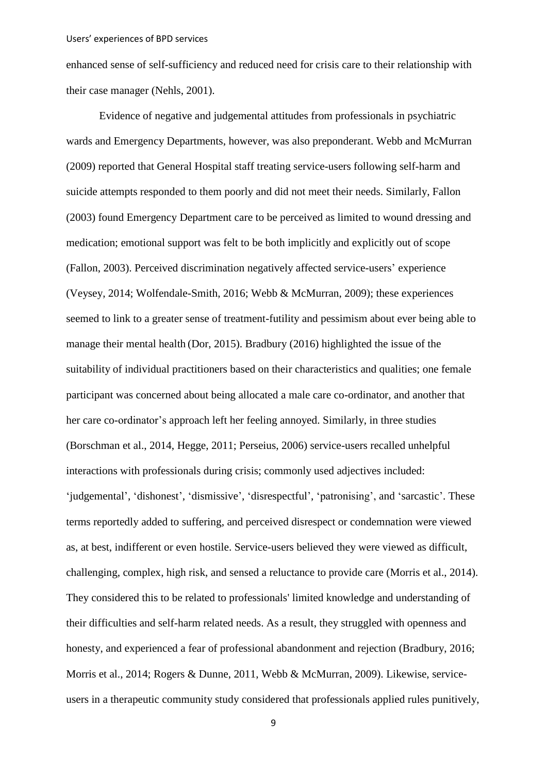enhanced sense of self-sufficiency and reduced need for crisis care to their relationship with their case manager (Nehls, 2001).

Evidence of negative and judgemental attitudes from professionals in psychiatric wards and Emergency Departments, however, was also preponderant. Webb and McMurran (2009) reported that General Hospital staff treating service-users following self-harm and suicide attempts responded to them poorly and did not meet their needs. Similarly, Fallon (2003) found Emergency Department care to be perceived as limited to wound dressing and medication; emotional support was felt to be both implicitly and explicitly out of scope (Fallon, 2003). Perceived discrimination negatively affected service-users' experience (Veysey, 2014; Wolfendale-Smith, 2016; Webb & McMurran, 2009); these experiences seemed to link to a greater sense of treatment-futility and pessimism about ever being able to manage their mental health (Dor, 2015). Bradbury (2016) highlighted the issue of the suitability of individual practitioners based on their characteristics and qualities; one female participant was concerned about being allocated a male care co-ordinator, and another that her care co-ordinator's approach left her feeling annoyed. Similarly, in three studies (Borschman et al., 2014, Hegge, 2011; Perseius, 2006) service-users recalled unhelpful interactions with professionals during crisis; commonly used adjectives included: 'judgemental', 'dishonest', 'dismissive', 'disrespectful', 'patronising', and 'sarcastic'. These terms reportedly added to suffering, and perceived disrespect or condemnation were viewed as, at best, indifferent or even hostile. Service-users believed they were viewed as difficult, challenging, complex, high risk, and sensed a reluctance to provide care (Morris et al., 2014). They considered this to be related to professionals' limited knowledge and understanding of their difficulties and self-harm related needs. As a result, they struggled with openness and honesty, and experienced a fear of professional abandonment and rejection (Bradbury, 2016; Morris et al., 2014; Rogers & Dunne, 2011, Webb & McMurran, 2009). Likewise, serviceusers in a therapeutic community study considered that professionals applied rules punitively,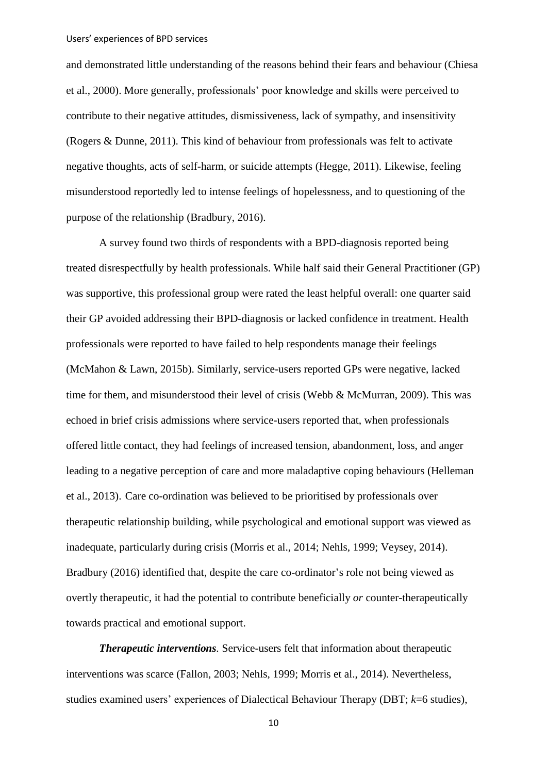and demonstrated little understanding of the reasons behind their fears and behaviour (Chiesa et al., 2000). More generally, professionals' poor knowledge and skills were perceived to contribute to their negative attitudes, dismissiveness, lack of sympathy, and insensitivity (Rogers & Dunne, 2011). This kind of behaviour from professionals was felt to activate negative thoughts, acts of self-harm, or suicide attempts (Hegge, 2011). Likewise, feeling misunderstood reportedly led to intense feelings of hopelessness, and to questioning of the purpose of the relationship (Bradbury, 2016).

A survey found two thirds of respondents with a BPD-diagnosis reported being treated disrespectfully by health professionals. While half said their General Practitioner (GP) was supportive, this professional group were rated the least helpful overall: one quarter said their GP avoided addressing their BPD-diagnosis or lacked confidence in treatment. Health professionals were reported to have failed to help respondents manage their feelings (McMahon & Lawn, 2015b). Similarly, service-users reported GPs were negative, lacked time for them, and misunderstood their level of crisis (Webb & McMurran, 2009). This was echoed in brief crisis admissions where service-users reported that, when professionals offered little contact, they had feelings of increased tension, abandonment, loss, and anger leading to a negative perception of care and more maladaptive coping behaviours (Helleman et al., 2013). Care co-ordination was believed to be prioritised by professionals over therapeutic relationship building, while psychological and emotional support was viewed as inadequate, particularly during crisis (Morris et al., 2014; Nehls, 1999; Veysey, 2014). Bradbury (2016) identified that, despite the care co-ordinator's role not being viewed as overtly therapeutic, it had the potential to contribute beneficially *or* counter-therapeutically towards practical and emotional support.

*Therapeutic interventions.* Service-users felt that information about therapeutic interventions was scarce (Fallon, 2003; Nehls, 1999; Morris et al., 2014). Nevertheless, studies examined users' experiences of Dialectical Behaviour Therapy (DBT; *k*=6 studies),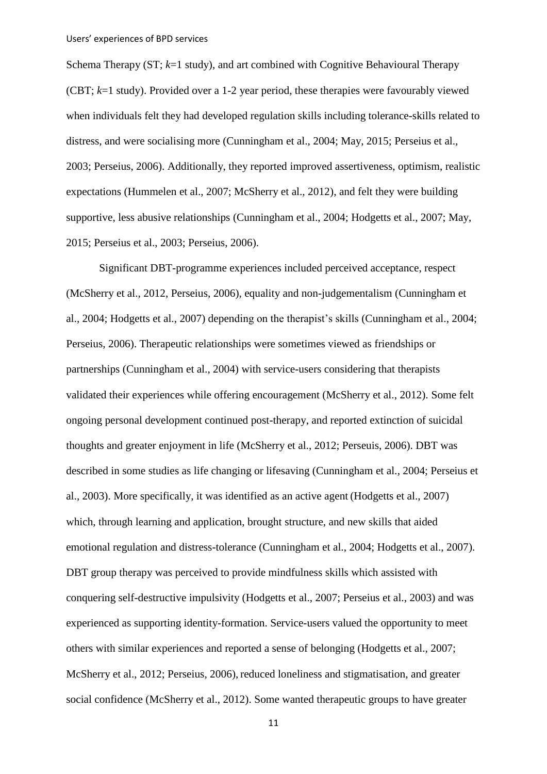Schema Therapy (ST; *k*=1 study), and art combined with Cognitive Behavioural Therapy (CBT; *k*=1 study). Provided over a 1-2 year period, these therapies were favourably viewed when individuals felt they had developed regulation skills including tolerance-skills related to distress, and were socialising more (Cunningham et al., 2004; May, 2015; Perseius et al., 2003; Perseius, 2006). Additionally, they reported improved assertiveness, optimism, realistic expectations (Hummelen et al., 2007; McSherry et al., 2012), and felt they were building supportive, less abusive relationships (Cunningham et al., 2004; Hodgetts et al., 2007; May, 2015; Perseius et al., 2003; Perseius, 2006).

Significant DBT-programme experiences included perceived acceptance, respect (McSherry et al., 2012, Perseius, 2006), equality and non-judgementalism (Cunningham et al., 2004; Hodgetts et al., 2007) depending on the therapist's skills (Cunningham et al., 2004; Perseius, 2006). Therapeutic relationships were sometimes viewed as friendships or partnerships (Cunningham et al., 2004) with service-users considering that therapists validated their experiences while offering encouragement (McSherry et al., 2012). Some felt ongoing personal development continued post-therapy, and reported extinction of suicidal thoughts and greater enjoyment in life (McSherry et al., 2012; Perseuis, 2006). DBT was described in some studies as life changing or lifesaving (Cunningham et al., 2004; Perseius et al., 2003). More specifically, it was identified as an active agent (Hodgetts et al., 2007) which, through learning and application, brought structure, and new skills that aided emotional regulation and distress-tolerance (Cunningham et al., 2004; Hodgetts et al., 2007). DBT group therapy was perceived to provide mindfulness skills which assisted with conquering self-destructive impulsivity (Hodgetts et al., 2007; Perseius et al., 2003) and was experienced as supporting identity-formation. Service-users valued the opportunity to meet others with similar experiences and reported a sense of belonging (Hodgetts et al., 2007; McSherry et al., 2012; Perseius, 2006), reduced loneliness and stigmatisation, and greater social confidence (McSherry et al., 2012). Some wanted therapeutic groups to have greater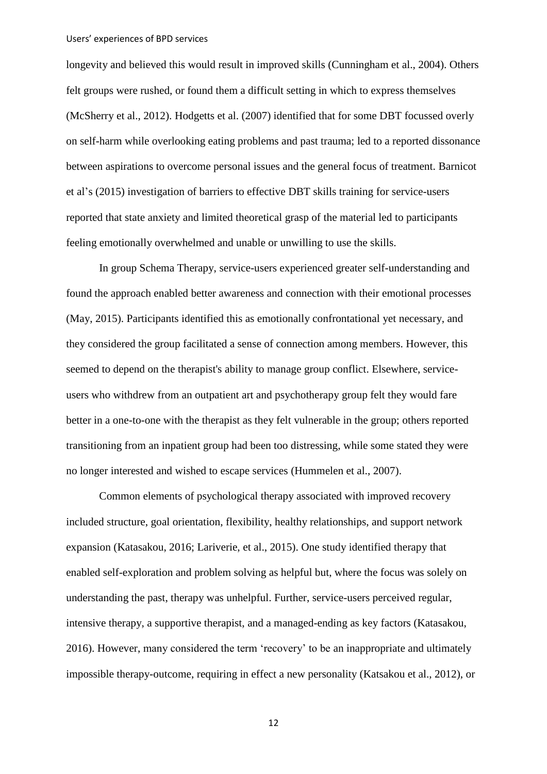longevity and believed this would result in improved skills (Cunningham et al., 2004). Others felt groups were rushed, or found them a difficult setting in which to express themselves (McSherry et al., 2012). Hodgetts et al. (2007) identified that for some DBT focussed overly on self-harm while overlooking eating problems and past trauma; led to a reported dissonance between aspirations to overcome personal issues and the general focus of treatment. Barnicot et al's (2015) investigation of barriers to effective DBT skills training for service-users reported that state anxiety and limited theoretical grasp of the material led to participants feeling emotionally overwhelmed and unable or unwilling to use the skills.

In group Schema Therapy, service-users experienced greater self-understanding and found the approach enabled better awareness and connection with their emotional processes (May, 2015). Participants identified this as emotionally confrontational yet necessary, and they considered the group facilitated a sense of connection among members. However, this seemed to depend on the therapist's ability to manage group conflict. Elsewhere, serviceusers who withdrew from an outpatient art and psychotherapy group felt they would fare better in a one-to-one with the therapist as they felt vulnerable in the group; others reported transitioning from an inpatient group had been too distressing, while some stated they were no longer interested and wished to escape services (Hummelen et al., 2007).

Common elements of psychological therapy associated with improved recovery included structure, goal orientation, flexibility, healthy relationships, and support network expansion (Katasakou, 2016; Lariverie, et al., 2015). One study identified therapy that enabled self-exploration and problem solving as helpful but, where the focus was solely on understanding the past, therapy was unhelpful. Further, service-users perceived regular, intensive therapy, a supportive therapist, and a managed-ending as key factors (Katasakou, 2016). However, many considered the term 'recovery' to be an inappropriate and ultimately impossible therapy-outcome, requiring in effect a new personality (Katsakou et al., 2012), or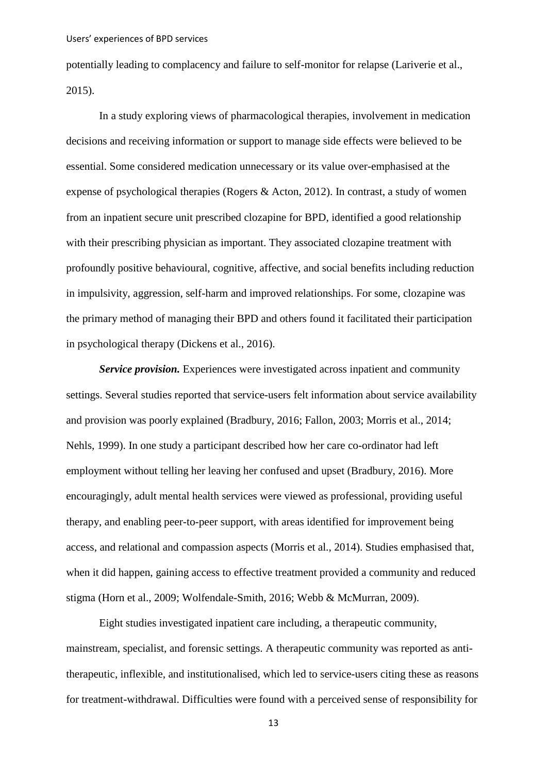potentially leading to complacency and failure to self-monitor for relapse (Lariverie et al., 2015).

In a study exploring views of pharmacological therapies, involvement in medication decisions and receiving information or support to manage side effects were believed to be essential. Some considered medication unnecessary or its value over-emphasised at the expense of psychological therapies (Rogers & Acton, 2012). In contrast, a study of women from an inpatient secure unit prescribed clozapine for BPD, identified a good relationship with their prescribing physician as important. They associated clozapine treatment with profoundly positive behavioural, cognitive, affective, and social benefits including reduction in impulsivity, aggression, self-harm and improved relationships. For some, clozapine was the primary method of managing their BPD and others found it facilitated their participation in psychological therapy (Dickens et al., 2016).

*Service provision.* Experiences were investigated across inpatient and community settings. Several studies reported that service-users felt information about service availability and provision was poorly explained (Bradbury, 2016; Fallon, 2003; Morris et al., 2014; Nehls, 1999). In one study a participant described how her care co-ordinator had left employment without telling her leaving her confused and upset (Bradbury, 2016). More encouragingly, adult mental health services were viewed as professional, providing useful therapy, and enabling peer-to-peer support, with areas identified for improvement being access, and relational and compassion aspects (Morris et al., 2014). Studies emphasised that, when it did happen, gaining access to effective treatment provided a community and reduced stigma (Horn et al., 2009; Wolfendale-Smith, 2016; Webb & McMurran, 2009).

Eight studies investigated inpatient care including, a therapeutic community, mainstream, specialist, and forensic settings. A therapeutic community was reported as antitherapeutic, inflexible, and institutionalised, which led to service-users citing these as reasons for treatment-withdrawal. Difficulties were found with a perceived sense of responsibility for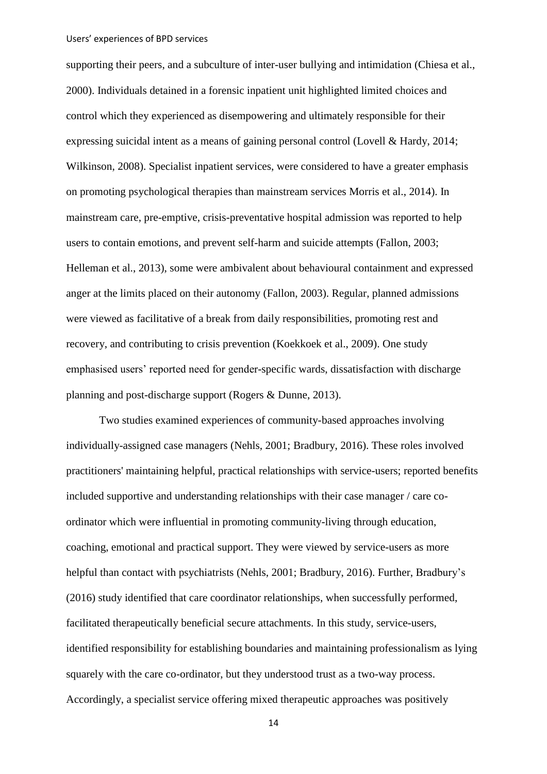supporting their peers, and a subculture of inter-user bullying and intimidation (Chiesa et al., 2000). Individuals detained in a forensic inpatient unit highlighted limited choices and control which they experienced as disempowering and ultimately responsible for their expressing suicidal intent as a means of gaining personal control (Lovell & Hardy, 2014; Wilkinson, 2008). Specialist inpatient services, were considered to have a greater emphasis on promoting psychological therapies than mainstream services Morris et al., 2014). In mainstream care, pre-emptive, crisis-preventative hospital admission was reported to help users to contain emotions, and prevent self-harm and suicide attempts (Fallon, 2003; Helleman et al., 2013), some were ambivalent about behavioural containment and expressed anger at the limits placed on their autonomy (Fallon, 2003). Regular, planned admissions were viewed as facilitative of a break from daily responsibilities, promoting rest and recovery, and contributing to crisis prevention (Koekkoek et al., 2009). One study emphasised users' reported need for gender-specific wards, dissatisfaction with discharge planning and post-discharge support (Rogers & Dunne, 2013).

Two studies examined experiences of community-based approaches involving individually-assigned case managers (Nehls, 2001; Bradbury, 2016). These roles involved practitioners' maintaining helpful, practical relationships with service-users; reported benefits included supportive and understanding relationships with their case manager / care coordinator which were influential in promoting community-living through education, coaching, emotional and practical support. They were viewed by service-users as more helpful than contact with psychiatrists (Nehls, 2001; Bradbury, 2016). Further, Bradbury's (2016) study identified that care coordinator relationships, when successfully performed, facilitated therapeutically beneficial secure attachments. In this study, service-users, identified responsibility for establishing boundaries and maintaining professionalism as lying squarely with the care co-ordinator, but they understood trust as a two-way process. Accordingly, a specialist service offering mixed therapeutic approaches was positively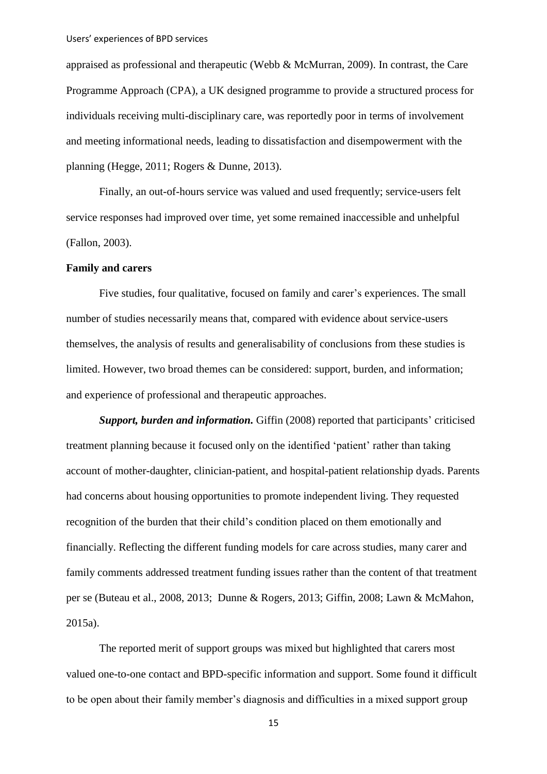appraised as professional and therapeutic (Webb & McMurran, 2009). In contrast, the Care Programme Approach (CPA), a UK designed programme to provide a structured process for individuals receiving multi-disciplinary care, was reportedly poor in terms of involvement and meeting informational needs, leading to dissatisfaction and disempowerment with the planning (Hegge, 2011; Rogers & Dunne, 2013).

Finally, an out-of-hours service was valued and used frequently; service-users felt service responses had improved over time, yet some remained inaccessible and unhelpful (Fallon, 2003).

## **Family and carers**

Five studies, four qualitative, focused on family and carer's experiences. The small number of studies necessarily means that, compared with evidence about service-users themselves, the analysis of results and generalisability of conclusions from these studies is limited. However, two broad themes can be considered: support, burden, and information; and experience of professional and therapeutic approaches.

*Support, burden and information.* Giffin (2008) reported that participants' criticised treatment planning because it focused only on the identified 'patient' rather than taking account of mother-daughter, clinician-patient, and hospital-patient relationship dyads. Parents had concerns about housing opportunities to promote independent living. They requested recognition of the burden that their child's condition placed on them emotionally and financially. Reflecting the different funding models for care across studies, many carer and family comments addressed treatment funding issues rather than the content of that treatment per se (Buteau et al., 2008, 2013; Dunne & Rogers, 2013; Giffin, 2008; Lawn & McMahon, 2015a).

The reported merit of support groups was mixed but highlighted that carers most valued one-to-one contact and BPD-specific information and support. Some found it difficult to be open about their family member's diagnosis and difficulties in a mixed support group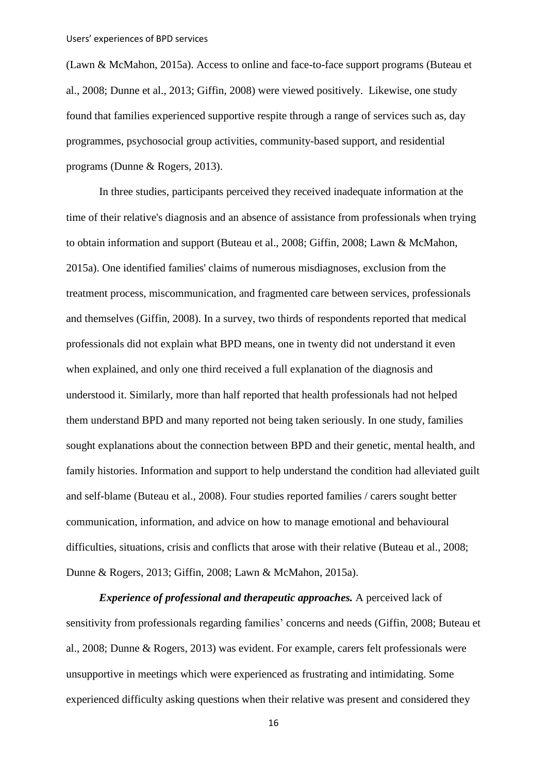(Lawn & McMahon, 2015a). Access to online and face-to-face support programs (Buteau et al., 2008; Dunne et al., 2013; Giffin, 2008) were viewed positively. Likewise, one study found that families experienced supportive respite through a range of services such as, day programmes, psychosocial group activities, community-based support, and residential programs (Dunne & Rogers, 2013).

In three studies, participants perceived they received inadequate information at the time of their relative's diagnosis and an absence of assistance from professionals when trying to obtain information and support (Buteau et al., 2008; Giffin, 2008; Lawn & McMahon, 2015a). One identified families' claims of numerous misdiagnoses, exclusion from the treatment process, miscommunication, and fragmented care between services, professionals and themselves (Giffin, 2008). In a survey, two thirds of respondents reported that medical professionals did not explain what BPD means, one in twenty did not understand it even when explained, and only one third received a full explanation of the diagnosis and understood it. Similarly, more than half reported that health professionals had not helped them understand BPD and many reported not being taken seriously. In one study, families sought explanations about the connection between BPD and their genetic, mental health, and family histories. Information and support to help understand the condition had alleviated guilt and self-blame (Buteau et al., 2008). Four studies reported families / carers sought better communication, information, and advice on how to manage emotional and behavioural difficulties, situations, crisis and conflicts that arose with their relative (Buteau et al., 2008; Dunne & Rogers, 2013; Giffin, 2008; Lawn & McMahon, 2015a).

*Experience of professional and therapeutic approaches.* A perceived lack of sensitivity from professionals regarding families' concerns and needs (Giffin, 2008; Buteau et al., 2008; Dunne & Rogers, 2013) was evident. For example, carers felt professionals were unsupportive in meetings which were experienced as frustrating and intimidating. Some experienced difficulty asking questions when their relative was present and considered they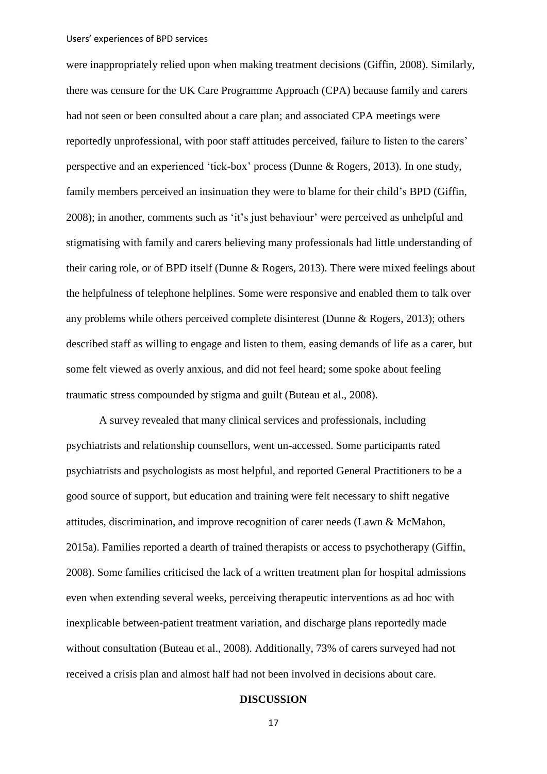were inappropriately relied upon when making treatment decisions (Giffin, 2008). Similarly, there was censure for the UK Care Programme Approach (CPA) because family and carers had not seen or been consulted about a care plan; and associated CPA meetings were reportedly unprofessional, with poor staff attitudes perceived, failure to listen to the carers' perspective and an experienced 'tick-box' process (Dunne & Rogers, 2013). In one study, family members perceived an insinuation they were to blame for their child's BPD (Giffin, 2008); in another, comments such as 'it's just behaviour' were perceived as unhelpful and stigmatising with family and carers believing many professionals had little understanding of their caring role, or of BPD itself (Dunne & Rogers, 2013). There were mixed feelings about the helpfulness of telephone helplines. Some were responsive and enabled them to talk over any problems while others perceived complete disinterest (Dunne & Rogers, 2013); others described staff as willing to engage and listen to them, easing demands of life as a carer, but some felt viewed as overly anxious, and did not feel heard; some spoke about feeling traumatic stress compounded by stigma and guilt (Buteau et al., 2008).

A survey revealed that many clinical services and professionals, including psychiatrists and relationship counsellors, went un-accessed. Some participants rated psychiatrists and psychologists as most helpful, and reported General Practitioners to be a good source of support, but education and training were felt necessary to shift negative attitudes, discrimination, and improve recognition of carer needs (Lawn & McMahon, 2015a). Families reported a dearth of trained therapists or access to psychotherapy (Giffin, 2008). Some families criticised the lack of a written treatment plan for hospital admissions even when extending several weeks, perceiving therapeutic interventions as ad hoc with inexplicable between-patient treatment variation, and discharge plans reportedly made without consultation (Buteau et al., 2008). Additionally, 73% of carers surveyed had not received a crisis plan and almost half had not been involved in decisions about care.

## **DISCUSSION**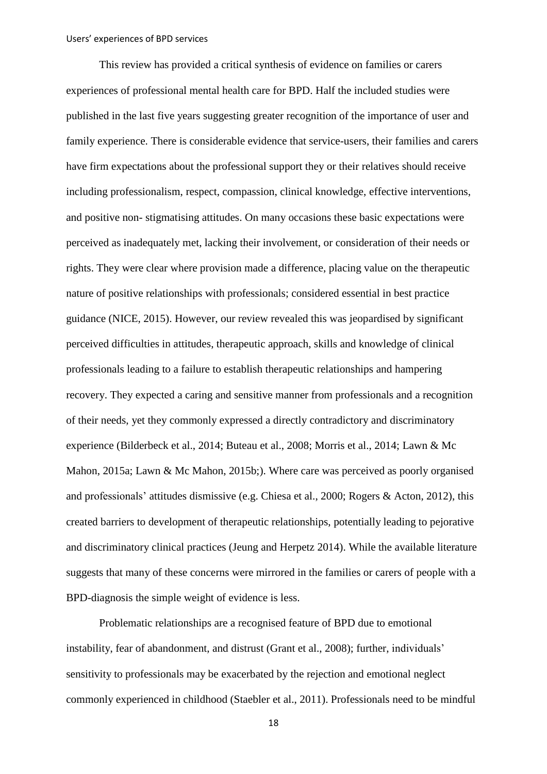This review has provided a critical synthesis of evidence on families or carers experiences of professional mental health care for BPD. Half the included studies were published in the last five years suggesting greater recognition of the importance of user and family experience. There is considerable evidence that service-users, their families and carers have firm expectations about the professional support they or their relatives should receive including professionalism, respect, compassion, clinical knowledge, effective interventions, and positive non- stigmatising attitudes. On many occasions these basic expectations were perceived as inadequately met, lacking their involvement, or consideration of their needs or rights. They were clear where provision made a difference, placing value on the therapeutic nature of positive relationships with professionals; considered essential in best practice guidance (NICE, 2015). However, our review revealed this was jeopardised by significant perceived difficulties in attitudes, therapeutic approach, skills and knowledge of clinical professionals leading to a failure to establish therapeutic relationships and hampering recovery. They expected a caring and sensitive manner from professionals and a recognition of their needs, yet they commonly expressed a directly contradictory and discriminatory experience (Bilderbeck et al., 2014; Buteau et al., 2008; Morris et al., 2014; Lawn & Mc Mahon, 2015a; Lawn & Mc Mahon, 2015b;). Where care was perceived as poorly organised and professionals' attitudes dismissive (e.g. Chiesa et al., 2000; Rogers & Acton, 2012), this created barriers to development of therapeutic relationships, potentially leading to pejorative and discriminatory clinical practices (Jeung and Herpetz 2014). While the available literature suggests that many of these concerns were mirrored in the families or carers of people with a BPD-diagnosis the simple weight of evidence is less.

Problematic relationships are a recognised feature of BPD due to emotional instability, fear of abandonment, and distrust (Grant et al., 2008); further, individuals' sensitivity to professionals may be exacerbated by the rejection and emotional neglect commonly experienced in childhood (Staebler et al., 2011). Professionals need to be mindful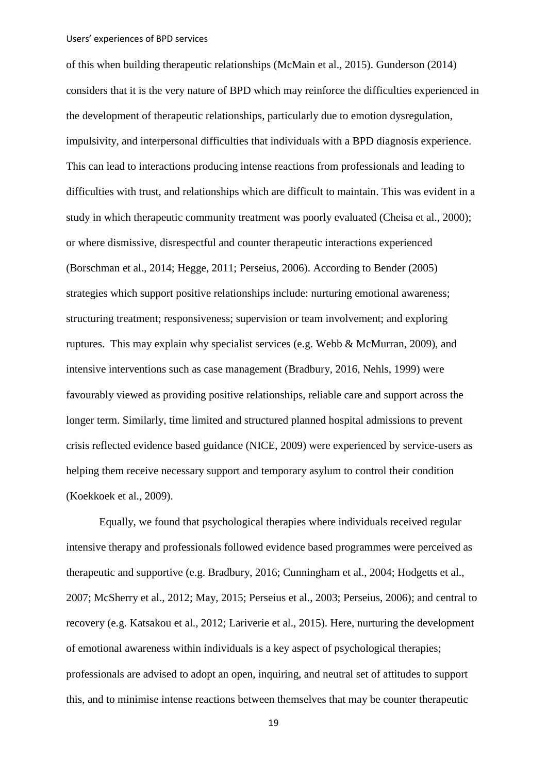of this when building therapeutic relationships (McMain et al., 2015). Gunderson (2014) considers that it is the very nature of BPD which may reinforce the difficulties experienced in the development of therapeutic relationships, particularly due to emotion dysregulation, impulsivity, and interpersonal difficulties that individuals with a BPD diagnosis experience. This can lead to interactions producing intense reactions from professionals and leading to difficulties with trust, and relationships which are difficult to maintain. This was evident in a study in which therapeutic community treatment was poorly evaluated (Cheisa et al., 2000); or where dismissive, disrespectful and counter therapeutic interactions experienced (Borschman et al., 2014; Hegge, 2011; Perseius, 2006). According to Bender (2005) strategies which support positive relationships include: nurturing emotional awareness; structuring treatment; responsiveness; supervision or team involvement; and exploring ruptures. This may explain why specialist services (e.g. Webb & McMurran, 2009), and intensive interventions such as case management (Bradbury, 2016, Nehls, 1999) were favourably viewed as providing positive relationships, reliable care and support across the longer term. Similarly, time limited and structured planned hospital admissions to prevent crisis reflected evidence based guidance (NICE, 2009) were experienced by service-users as helping them receive necessary support and temporary asylum to control their condition (Koekkoek et al., 2009).

Equally, we found that psychological therapies where individuals received regular intensive therapy and professionals followed evidence based programmes were perceived as therapeutic and supportive (e.g. Bradbury, 2016; Cunningham et al., 2004; Hodgetts et al., 2007; McSherry et al., 2012; May, 2015; Perseius et al., 2003; Perseius, 2006); and central to recovery (e.g. Katsakou et al., 2012; Lariverie et al., 2015). Here, nurturing the development of emotional awareness within individuals is a key aspect of psychological therapies; professionals are advised to adopt an open, inquiring, and neutral set of attitudes to support this, and to minimise intense reactions between themselves that may be counter therapeutic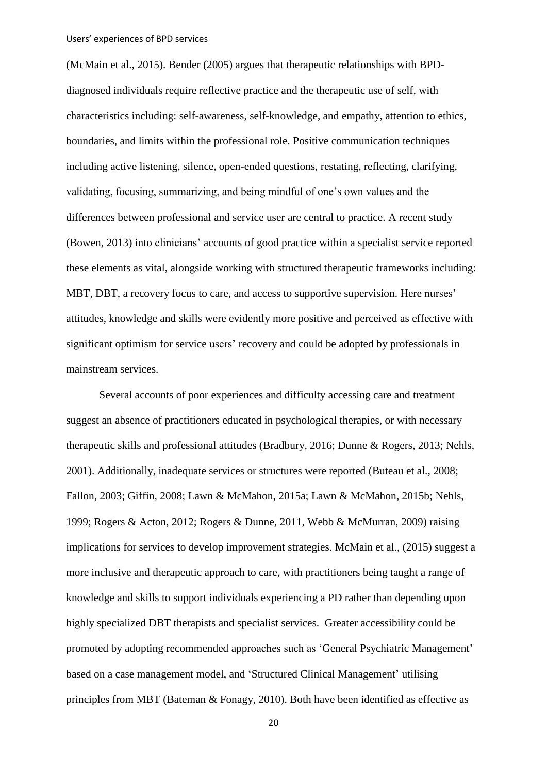(McMain et al., 2015). Bender (2005) argues that therapeutic relationships with BPDdiagnosed individuals require reflective practice and the therapeutic use of self, with characteristics including: self-awareness, self-knowledge, and empathy, attention to ethics, boundaries, and limits within the professional role. Positive communication techniques including active listening, silence, open-ended questions, restating, reflecting, clarifying, validating, focusing, summarizing, and being mindful of one's own values and the differences between professional and service user are central to practice. A recent study (Bowen, 2013) into clinicians' accounts of good practice within a specialist service reported these elements as vital, alongside working with structured therapeutic frameworks including: MBT, DBT, a recovery focus to care, and access to supportive supervision. Here nurses' attitudes, knowledge and skills were evidently more positive and perceived as effective with significant optimism for service users' recovery and could be adopted by professionals in mainstream services.

Several accounts of poor experiences and difficulty accessing care and treatment suggest an absence of practitioners educated in psychological therapies, or with necessary therapeutic skills and professional attitudes (Bradbury, 2016; Dunne & Rogers, 2013; Nehls, 2001). Additionally, inadequate services or structures were reported (Buteau et al., 2008; Fallon, 2003; Giffin, 2008; Lawn & McMahon, 2015a; Lawn & McMahon, 2015b; Nehls, 1999; Rogers & Acton, 2012; Rogers & Dunne, 2011, Webb & McMurran, 2009) raising implications for services to develop improvement strategies. McMain et al., (2015) suggest a more inclusive and therapeutic approach to care, with practitioners being taught a range of knowledge and skills to support individuals experiencing a PD rather than depending upon highly specialized DBT therapists and specialist services. Greater accessibility could be promoted by adopting recommended approaches such as 'General Psychiatric Management' based on a case management model, and 'Structured Clinical Management' utilising principles from MBT (Bateman & Fonagy, 2010). Both have been identified as effective as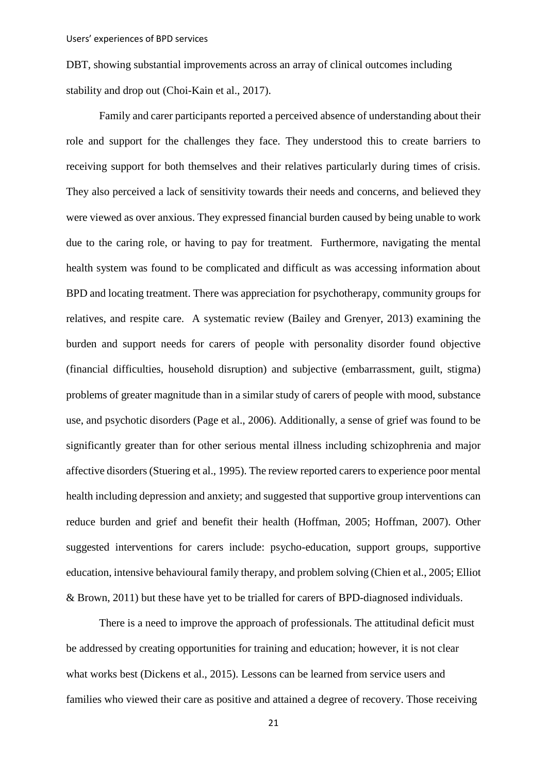DBT, showing substantial improvements across an array of clinical outcomes including stability and drop out (Choi-Kain et al., 2017).

Family and carer participants reported a perceived absence of understanding about their role and support for the challenges they face. They understood this to create barriers to receiving support for both themselves and their relatives particularly during times of crisis. They also perceived a lack of sensitivity towards their needs and concerns, and believed they were viewed as over anxious. They expressed financial burden caused by being unable to work due to the caring role, or having to pay for treatment. Furthermore, navigating the mental health system was found to be complicated and difficult as was accessing information about BPD and locating treatment. There was appreciation for psychotherapy, community groups for relatives, and respite care. A systematic review (Bailey and Grenyer, 2013) examining the burden and support needs for carers of people with personality disorder found objective (financial difficulties, household disruption) and subjective (embarrassment, guilt, stigma) problems of greater magnitude than in a similar study of carers of people with mood, substance use, and psychotic disorders (Page et al., 2006). Additionally, a sense of grief was found to be significantly greater than for other serious mental illness including schizophrenia and major affective disorders (Stuering et al., 1995). The review reported carers to experience poor mental health including depression and anxiety; and suggested that supportive group interventions can reduce burden and grief and benefit their health (Hoffman, 2005; Hoffman, 2007). Other suggested interventions for carers include: psycho-education, support groups, supportive education, intensive behavioural family therapy, and problem solving (Chien et al., 2005; Elliot & Brown, 2011) but these have yet to be trialled for carers of BPD-diagnosed individuals.

There is a need to improve the approach of professionals. The attitudinal deficit must be addressed by creating opportunities for training and education; however, it is not clear what works best (Dickens et al., 2015). Lessons can be learned from service users and families who viewed their care as positive and attained a degree of recovery. Those receiving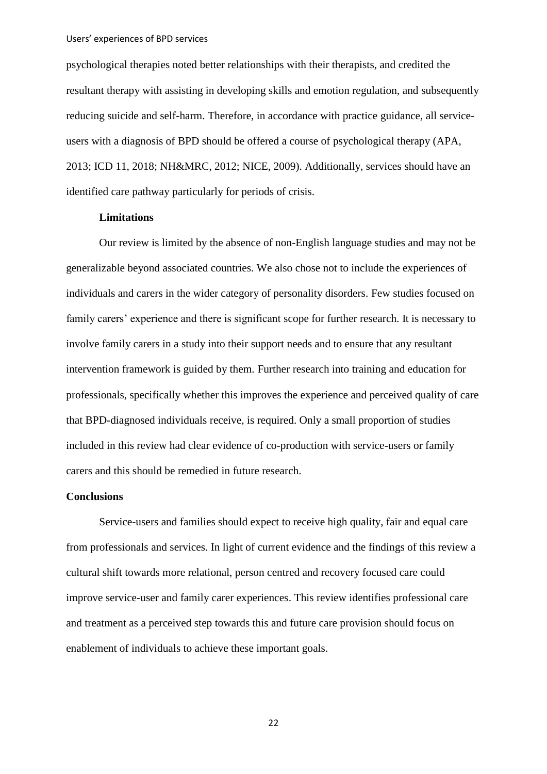psychological therapies noted better relationships with their therapists, and credited the resultant therapy with assisting in developing skills and emotion regulation, and subsequently reducing suicide and self-harm. Therefore, in accordance with practice guidance, all serviceusers with a diagnosis of BPD should be offered a course of psychological therapy (APA, 2013; ICD 11, 2018; NH&MRC, 2012; NICE, 2009). Additionally, services should have an identified care pathway particularly for periods of crisis.

# **Limitations**

Our review is limited by the absence of non-English language studies and may not be generalizable beyond associated countries. We also chose not to include the experiences of individuals and carers in the wider category of personality disorders. Few studies focused on family carers' experience and there is significant scope for further research. It is necessary to involve family carers in a study into their support needs and to ensure that any resultant intervention framework is guided by them. Further research into training and education for professionals, specifically whether this improves the experience and perceived quality of care that BPD-diagnosed individuals receive, is required. Only a small proportion of studies included in this review had clear evidence of co-production with service-users or family carers and this should be remedied in future research.

#### **Conclusions**

Service-users and families should expect to receive high quality, fair and equal care from professionals and services. In light of current evidence and the findings of this review a cultural shift towards more relational, person centred and recovery focused care could improve service-user and family carer experiences. This review identifies professional care and treatment as a perceived step towards this and future care provision should focus on enablement of individuals to achieve these important goals.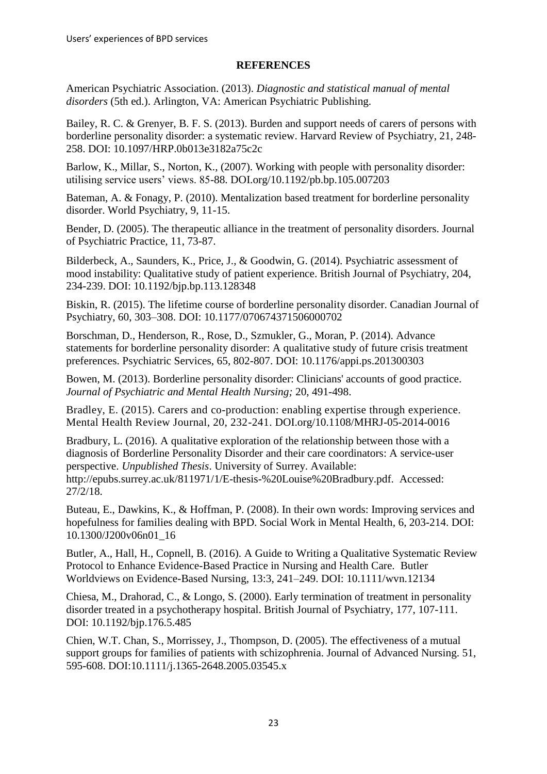## **REFERENCES**

American Psychiatric Association. (2013). *Diagnostic and statistical manual of mental disorders* (5th ed.). Arlington, VA: American Psychiatric Publishing.

Bailey, R. C. & Grenyer, B. F. S. (2013). Burden and support needs of carers of persons with borderline personality disorder: a systematic review. Harvard Review of Psychiatry, 21, 248- 258. DOI: 10.1097/HRP.0b013e3182a75c2c

Barlow, K., Millar, S., Norton, K., (2007). Working with people with personality disorder: utilising service users' views. 85-88. [DOI.org/10.1192/pb.bp.105.007203](https://doi.org/10.1192/pb.bp.105.007203)

Bateman, A. & Fonagy, P. (2010). Mentalization based treatment for borderline personality disorder. World Psychiatry, 9, 11-15.

Bender, D. (2005). The therapeutic alliance in the treatment of personality disorders. Journal of Psychiatric Practice, 11, 73-87.

Bilderbeck, A., Saunders, K., Price, J., & Goodwin, G. (2014). Psychiatric assessment of mood instability: Qualitative study of patient experience. British Journal of Psychiatry, 204, 234-239. DOI: 10.1192/bjp.bp.113.128348

Biskin, R. (2015). The lifetime course of borderline personality disorder. Canadian Journal of Psychiatry, 60, 303–308. DOI: [10.1177/070674371506000702](https://dx.doi.org/10.1177%2F070674371506000702)

Borschman, D., Henderson, R., Rose, D., Szmukler, G., Moran, P. (2014). Advance statements for borderline personality disorder: A qualitative study of future crisis treatment preferences. Psychiatric Services, 65, 802-807. DOI: [10.1176/appi.ps.201300303](https://doi.org/10.1176/appi.ps.201300303)

Bowen, M. (2013). Borderline personality disorder: Clinicians' accounts of good practice. *Journal of Psychiatric and Mental Health Nursing;* 20, 491-498.

Bradley, E. (2015). Carers and co-production: enabling expertise through experience. Mental Health Review Journal, 20, 232-241. DOI.org/10.1108/MHRJ-05-2014-0016

Bradbury, L. (2016). A qualitative exploration of the relationship between those with a diagnosis of Borderline Personality Disorder and their care coordinators: A service-user perspective. *Unpublished Thesis*. University of Surrey. Available: http://epubs.surrey.ac.uk/811971/1/E-thesis-%20Louise%20Bradbury.pdf. Accessed: 27/2/18.

Buteau, E., Dawkins, K., & Hoffman, P. (2008). In their own words: Improving services and hopefulness for families dealing with BPD. Social Work in Mental Health*,* 6, 203-214. DOI: 10.1300/J200v06n01\_16

Butler, A., Hall, H., Copnell, B. (2016). A Guide to Writing a Qualitative Systematic Review Protocol to Enhance Evidence-Based Practice in Nursing and Health Care. Butler Worldviews on Evidence-Based Nursing, 13:3, 241–249. DOI: 10.1111/wvn.12134

Chiesa, M., Drahorad, C., & Longo, S. (2000). Early termination of treatment in personality disorder treated in a psychotherapy hospital. British Journal of Psychiatry*,* 177, 107-111. DOI: 10.1192/bjp.176.5.485

Chien, W.T. Chan, S., Morrissey, J., Thompson, D. (2005). The effectiveness of a mutual support groups for families of patients with schizophrenia. Journal of Advanced Nursing. 51, 595-608. DOI[:10.1111/j.1365-2648.2005.03545.x](https://doi.org/10.1111/j.1365-2648.2005.03545.x)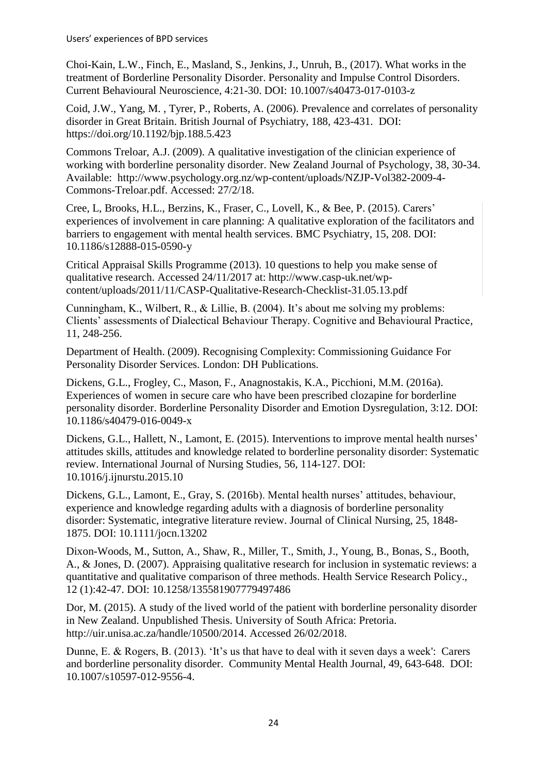Choi-Kain, L.W., Finch, E., Masland, S., Jenkins, J., Unruh, B., (2017). What works in the treatment of Borderline Personality Disorder. Personality and Impulse Control Disorders. Current Behavioural Neuroscience, 4:21-30. DOI: 10.1007/s40473-017-0103-z

Coid, J.W., Yang, M. , Tyrer, P., Roberts, A. (2006). Prevalence and correlates of personality disorder in Great Britain. British Journal of Psychiatry, 188, 423-431. DOI: https://doi.org/10.1192/bjp.188.5.423

Commons Treloar, A.J. (2009). A qualitative investigation of the clinician experience of working with borderline personality disorder. New Zealand Journal of Psychology*,* 38, 30-34. Available: http://www.psychology.org.nz/wp-content/uploads/NZJP-Vol382-2009-4- Commons-Treloar.pdf. Accessed: 27/2/18.

Cree, L, Brooks, H.L., Berzins, K., Fraser, C., Lovell, K., & Bee, P. (2015). Carers' experiences of involvement in care planning: A qualitative exploration of the facilitators and barriers to engagement with mental health services. BMC Psychiatry*,* 15, 208. DOI: 10.1186/s12888-015-0590-y

Critical Appraisal Skills Programme (2013). 10 questions to help you make sense of qualitative research. Accessed 24/11/2017 at: http://www.casp-uk.net/wpcontent/uploads/2011/11/CASP-Qualitative-Research-Checklist-31.05.13.pdf

Cunningham, K., Wilbert, R., & Lillie, B. (2004). It's about me solving my problems: Clients' assessments of Dialectical Behaviour Therapy. Cognitive and Behavioural Practice*,*  11, 248-256.

Department of Health. (2009). Recognising Complexity: Commissioning Guidance For Personality Disorder Services. London: DH Publications.

Dickens, G.L., Frogley, C., Mason, F., Anagnostakis, K.A., Picchioni, M.M. (2016a). Experiences of women in secure care who have been prescribed clozapine for borderline personality disorder. Borderline Personality Disorder and Emotion Dysregulation*,* 3:12. DOI: 10.1186/s40479-016-0049-x

Dickens, G.L., Hallett, N., Lamont, E. (2015). Interventions to improve mental health nurses' attitudes skills, attitudes and knowledge related to borderline personality disorder: Systematic review. International Journal of Nursing Studies*,* 56, 114-127. DOI: 10.1016/j.ijnurstu.2015.10

Dickens, G.L., Lamont, E., Gray, S. (2016b). Mental health nurses' attitudes, behaviour, experience and knowledge regarding adults with a diagnosis of borderline personality disorder: Systematic, integrative literature review. Journal of Clinical Nursing, 25, 1848- 1875. DOI: 10.1111/jocn.13202

[Dixon-Woods, M.](https://www.ncbi.nlm.nih.gov/pubmed/?term=Dixon-Woods%20M%5BAuthor%5D&cauthor=true&cauthor_uid=17244397), [Sutton, A.](https://www.ncbi.nlm.nih.gov/pubmed/?term=Sutton%20A%5BAuthor%5D&cauthor=true&cauthor_uid=17244397), [Shaw, R.](https://www.ncbi.nlm.nih.gov/pubmed/?term=Shaw%20R%5BAuthor%5D&cauthor=true&cauthor_uid=17244397), [Miller, T.](https://www.ncbi.nlm.nih.gov/pubmed/?term=Miller%20T%5BAuthor%5D&cauthor=true&cauthor_uid=17244397), [Smith, J.](https://www.ncbi.nlm.nih.gov/pubmed/?term=Smith%20J%5BAuthor%5D&cauthor=true&cauthor_uid=17244397), [Young, B.](https://www.ncbi.nlm.nih.gov/pubmed/?term=Young%20B%5BAuthor%5D&cauthor=true&cauthor_uid=17244397), [Bonas, S.](https://www.ncbi.nlm.nih.gov/pubmed/?term=Bonas%20S%5BAuthor%5D&cauthor=true&cauthor_uid=17244397), [Booth,](https://www.ncbi.nlm.nih.gov/pubmed/?term=Booth%20A%5BAuthor%5D&cauthor=true&cauthor_uid=17244397)  [A.](https://www.ncbi.nlm.nih.gov/pubmed/?term=Booth%20A%5BAuthor%5D&cauthor=true&cauthor_uid=17244397), & [Jones, D.](https://www.ncbi.nlm.nih.gov/pubmed/?term=Jones%20D%5BAuthor%5D&cauthor=true&cauthor_uid=17244397) (2007). Appraising qualitative research for inclusion in systematic reviews: a quantitative and qualitative comparison of three methods. [Health Service Research Policy.,](https://www.ncbi.nlm.nih.gov/pubmed/17244397) 12 (1):42-47. DOI: [10.1258/135581907779497486](https://doi.org/10.1258/135581907779497486)

Dor, M. (2015). A study of the lived world of the patient with borderline personality disorder in New Zealand. Unpublished Thesis. University of South Africa: Pretoria. http://uir.unisa.ac.za/handle/10500/2014. Accessed 26/02/2018.

Dunne, E. & Rogers, B. (2013). 'It's us that have to deal with it seven days a week': Carers and borderline personality disorder. Community Mental Health Journal*,* 49, 643-648. DOI: 10.1007/s10597-012-9556-4.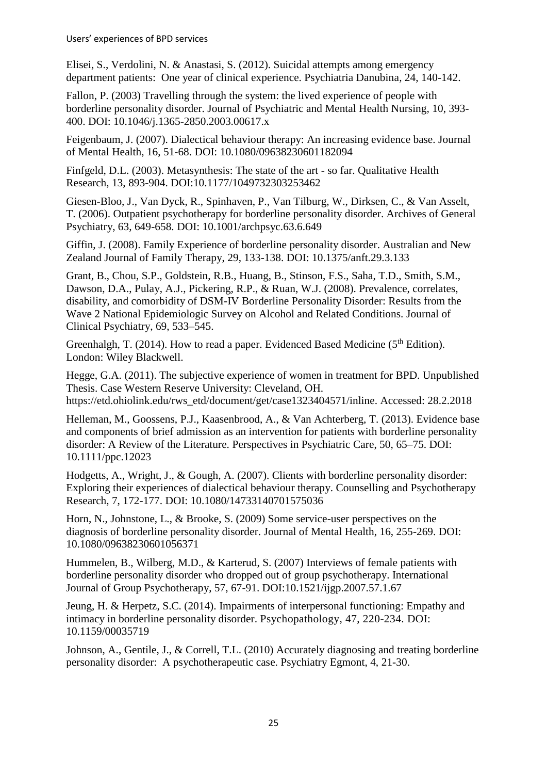Elisei, S., Verdolini, N. & Anastasi, S. (2012). Suicidal attempts among emergency department patients: One year of clinical experience. Psychiatria Danubina*,* 24, 140-142.

Fallon, P. (2003) Travelling through the system: the lived experience of people with borderline personality disorder. Journal of Psychiatric and Mental Health Nursing*,* 10, 393- 400. DOI: 10.1046/j.1365-2850.2003.00617.x

Feigenbaum, J. (2007). Dialectical behaviour therapy: An increasing evidence base. Journal of Mental Health, 16, 51-68. DOI: 10.1080/09638230601182094

Finfgeld, D.L. (2003). Metasynthesis: The state of the art - so far. Qualitative Health Research, 13, 893-904. DOI:10.1177/1049732303253462

Giesen-Bloo, J., Van Dyck, R., Spinhaven, P., Van Tilburg, W., Dirksen, C., & Van Asselt, T. (2006). Outpatient psychotherapy for borderline personality disorder. Archives of General Psychiatry, 63, 649-658. DOI: [10.1001/archpsyc.63.6.649](https://doi.org/10.1001/archpsyc.63.6.649)

Giffin, J. (2008). Family Experience of borderline personality disorder. Australian and New Zealand Journal of Family Therapy, 29, 133-138. DOI: 10.1375/anft.29.3.133

Grant, B., Chou, S.P., Goldstein, R.B., Huang, B., Stinson, F.S., Saha, T.D., Smith, S.M., Dawson, D.A., Pulay, A.J., Pickering, R.P., & Ruan, W.J. (2008). Prevalence, correlates, disability, and comorbidity of DSM-IV Borderline Personality Disorder: Results from the Wave 2 National Epidemiologic Survey on Alcohol and Related Conditions. [Journal of](https://www.ncbi.nlm.nih.gov/entrez/eutils/elink.fcgi?dbfrom=pubmed&retmode=ref&cmd=prlinks&id=18426259)  [Clinical Psychiatry, 69, 533–545.](https://www.ncbi.nlm.nih.gov/entrez/eutils/elink.fcgi?dbfrom=pubmed&retmode=ref&cmd=prlinks&id=18426259)

Greenhalgh, T. (2014). How to read a paper. Evidenced Based Medicine ( $5<sup>th</sup>$  Edition). London: Wiley Blackwell.

Hegge, G.A. (2011). The subjective experience of women in treatment for BPD. Unpublished Thesis. Case Western Reserve University: Cleveland, OH. https://etd.ohiolink.edu/rws\_etd/document/get/case1323404571/inline. Accessed: 28.2.2018

Helleman, M., Goossens, P.J., Kaasenbrood, A., & Van Achterberg, T. (2013). Evidence base and components of brief admission as an intervention for patients with borderline personality disorder: A Review of the Literature. Perspectives in Psychiatric Care, 50, 65–75. DOI: 10.1111/ppc.12023

Hodgetts, A., Wright, J., & Gough, A. (2007). Clients with borderline personality disorder: Exploring their experiences of dialectical behaviour therapy. Counselling and Psychotherapy Research, 7, 172-177. [DOI: 10.1080/14733140701575036](https://doi.org/10.1080/14733140701575036)

Horn, N., Johnstone, L., & Brooke, S. (2009) Some service-user perspectives on the diagnosis of borderline personality disorder. Journal of Mental Health, 16, 255-269. [DOI:](https://doi.org/10.1080/09638230601056371)  [10.1080/09638230601056371](https://doi.org/10.1080/09638230601056371)

Hummelen, B., Wilberg, M.D., & Karterud, S. (2007) Interviews of female patients with borderline personality disorder who dropped out of group psychotherapy. International Journal of Group Psychotherapy, 57, 67-91. DOI[:10.1521/ijgp.2007.57.1.67](https://doi.org/10.1521/ijgp.2007.57.1.67)

Jeung, H. & Herpetz, S.C. (2014). Impairments of interpersonal functioning: Empathy and intimacy in borderline personality disorder. Psychopathology*,* 47, 220-234. DOI: 10.1159/00035719

Johnson, A., Gentile, J., & Correll, T.L. (2010) Accurately diagnosing and treating borderline personality disorder: A psychotherapeutic case. Psychiatry Egmont, 4, 21-30.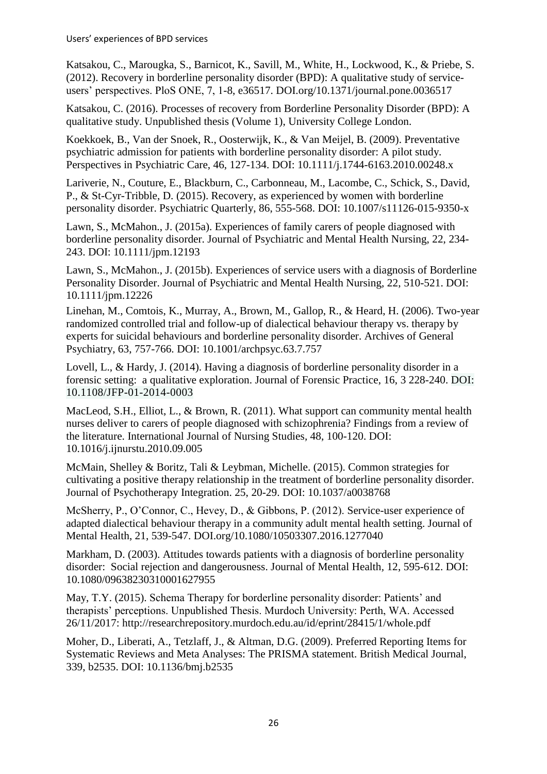Katsakou, C., Marougka, S., Barnicot, K., Savill, M., White, H., Lockwood, K., & Priebe, S. (2012). Recovery in borderline personality disorder (BPD): A qualitative study of serviceusers' perspectives. PloS ONE, 7, 1-8, e36517. DOI.org/10.1371/journal.pone.0036517

Katsakou, C. (2016). Processes of recovery from Borderline Personality Disorder (BPD): A qualitative study. Unpublished thesis (Volume 1), University College London.

Koekkoek, B., Van der Snoek, R., Oosterwijk, K., & Van Meijel, B. (2009). Preventative psychiatric admission for patients with borderline personality disorder: A pilot study*.*  Perspectives in Psychiatric Care, 46, 127-134. DOI: 10.1111/j.1744-6163.2010.00248.x

Lariverie, N., Couture, E., Blackburn, C., Carbonneau, M., Lacombe, C., Schick, S., David, P., & St-Cyr-Tribble, D. (2015). Recovery, as experienced by women with borderline personality disorder. Psychiatric Quarterly, 86, 555-568. DOI: 10.1007/s11126-015-9350-x

Lawn, S., McMahon., J. (2015a). Experiences of family carers of people diagnosed with borderline personality disorder. Journal of Psychiatric and Mental Health Nursing, 22, 234- 243. DOI: 10.1111/jpm.12193

Lawn, S., McMahon., J. (2015b). Experiences of service users with a diagnosis of Borderline Personality Disorder. Journal of Psychiatric and Mental Health Nursing, 22, 510-521. [DOI:](https://doi.org/10.1111/jpm.12226)  [10.1111/jpm.12226](https://doi.org/10.1111/jpm.12226)

Linehan, M., Comtois, K., Murray, A., Brown, M., Gallop, R., & Heard, H. (2006). Two-year randomized controlled trial and follow-up of dialectical behaviour therapy vs. therapy by experts for suicidal behaviours and borderline personality disorder. Archives of General Psychiatry, 63, 757-766. DOI: [10.1001/archpsyc.63.7.757](https://doi.org/10.1001/archpsyc.63.7.757)

Lovell, L., & Hardy, J. (2014). Having a diagnosis of borderline personality disorder in a forensic setting: a qualitative exploration. Journal of Forensic Practice, 16, 3 228-240. [DOI:](https://doi.org/10.1108/JFP-01-2014-0003)  [10.1108/JFP-01-2014-0003](https://doi.org/10.1108/JFP-01-2014-0003)

MacLeod, S.H., Elliot, L., & Brown, R. (2011). What support can community mental health nurses deliver to carers of people diagnosed with schizophrenia? Findings from a review of the literature. [International](http://www.sciencedirect.com.libproxy.abertay.ac.uk/science/journal/00207489) Journal of Nursing Studies*,* 48, 100-120. DOI: 10.1016/j.ijnurstu.2010.09.005

McMain, Shelley & Boritz, Tali & Leybman, Michelle. (2015). Common strategies for cultivating a positive therapy relationship in the treatment of borderline personality disorder. Journal of Psychotherapy Integration. 25, 20-29. DOI: 10.1037/a0038768

McSherry, P., O'Connor, C., Hevey, D., & Gibbons, P. (2012). Service-user experience of adapted dialectical behaviour therapy in a community adult mental health setting. Journal of Mental Health, 21, 539-547. [DOI.org/10.1080/10503307.2016.1277040](https://doi.org/10.1080/10503307.2016.1277040)

Markham, D. (2003). Attitudes towards patients with a diagnosis of borderline personality disorder: Social rejection and dangerousness. Journal of Mental Health*,* 12, 595-612. [DOI:](https://doi.org/10.1080/09638230310001627955)  [10.1080/09638230310001627955](https://doi.org/10.1080/09638230310001627955)

May, T.Y. (2015). Schema Therapy for borderline personality disorder: Patients' and therapists' perceptions. Unpublished Thesis. Murdoch University: Perth, WA. Accessed 26/11/2017: http://researchrepository.murdoch.edu.au/id/eprint/28415/1/whole.pdf

Moher, D., Liberati, A., Tetzlaff, J., & Altman, D.G. (2009). Preferred Reporting Items for Systematic Reviews and Meta Analyses: The PRISMA statement. British Medical Journal, 339, b2535. DOI: [10.1136/bmj.b2535](https://doi.org/10.1136/bmj.b2535)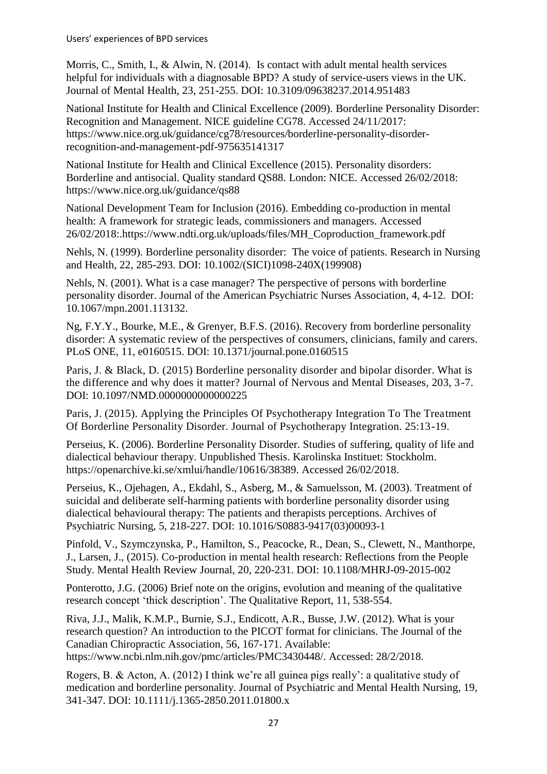Morris, C., Smith, I., & Alwin, N. (2014). Is contact with adult mental health services helpful for individuals with a diagnosable BPD? A study of service-users views in the UK. Journal of Mental Health, 23, 251-255. DOI: 10.3109/09638237.2014.951483

National Institute for Health and Clinical Excellence (2009). Borderline Personality Disorder: Recognition and Management. NICE guideline CG78. Accessed 24/11/2017: [https://www.nice.org.uk/guidance/cg78/resources/borderline-personality-disorder](https://www.nice.org.uk/guidance/cg78/resources/borderline-personality-disorder-recognition-and-management-pdf-975635141317)[recognition-and-management-pdf-975635141317](https://www.nice.org.uk/guidance/cg78/resources/borderline-personality-disorder-recognition-and-management-pdf-975635141317)

National Institute for Health and Clinical Excellence (2015). Personality disorders: Borderline and antisocial. Quality standard QS88. London: NICE. Accessed 26/02/2018: <https://www.nice.org.uk/guidance/qs88>

National Development Team for Inclusion (2016). Embedding co-production in mental health: A framework for strategic leads, commissioners and managers. Accessed 26/02/2018:.https://www.ndti.org.uk/uploads/files/MH\_Coproduction\_framework.pdf

Nehls, N. (1999). Borderline personality disorder: The voice of patients. Research in Nursing and Health, 22, 285-293. DOI: 10.1002/(SICI)1098-240X(199908)

Nehls, N. (2001). What is a case manager? The perspective of persons with borderline personality disorder. Journal of the American Psychiatric Nurses Association*,* 4, 4-12. [DOI:](https://doi.org/10.1067/mpn.2001.113132)  [10.1067/mpn.2001.113132.](https://doi.org/10.1067/mpn.2001.113132)

Ng, F.Y.Y., Bourke, M.E., & Grenyer, B.F.S. (2016). Recovery from borderline personality disorder: A systematic review of the perspectives of consumers, clinicians, family and carers. PLoS ONE*,* 11, e0160515. [DOI: 10.1371/journal.pone.0160515](https://doi.org/10.1371/journal.pone.0160515)

Paris, J. & Black, D. (2015) Borderline personality disorder and bipolar disorder. What is the difference and why does it matter? Journal of Nervous and Mental Diseases, 203, 3-7. DOI: 10.1097/NMD.0000000000000225

Paris, J. (2015). Applying the Principles Of Psychotherapy Integration To The Treatment Of Borderline Personality Disorder. Journal of Psychotherapy Integration. 25:13-19.

Perseius, K. (2006). Borderline Personality Disorder. Studies of suffering, quality of life and dialectical behaviour therapy. Unpublished Thesis. Karolinska Instituet: Stockholm. https://openarchive.ki.se/xmlui/handle/10616/38389. Accessed 26/02/2018.

Perseius, K., Ojehagen, A., Ekdahl, S., Asberg, M., & Samuelsson, M. (2003). Treatment of suicidal and deliberate self-harming patients with borderline personality disorder using dialectical behavioural therapy: The patients and therapists perceptions. Archives of Psychiatric Nursing, 5, 218-227. [DOI: 10.1016/S0883-9417\(03\)00093-1](https://doi.org/10.1016/S0883-9417(03)00093-1)

Pinfold, V., Szymczynska, P., Hamilton, S., Peacocke, R., Dean, S., Clewett, N., Manthorpe, J., Larsen, J., (2015). Co-production in mental health research: Reflections from the People Study. Mental Health Review Journal, 20, 220-231. DOI: 10.1108/MHRJ-09-2015-002

Ponterotto, J.G. (2006) Brief note on the origins, evolution and meaning of the qualitative research concept 'thick description'. The Qualitative Report, 11, 538-554.

Riva, J.J., Malik, K.M.P., Burnie, S.J., Endicott, A.R., Busse, J.W. (2012). What is your research question? An introduction to the PICOT format for clinicians. The Journal of the Canadian Chiropractic Association, 56, 167-171. Available: https://www.ncbi.nlm.nih.gov/pmc/articles/PMC3430448/. Accessed: 28/2/2018.

Rogers, B. & Acton, A. (2012) I think we're all guinea pigs really': a qualitative study of medication and borderline personality. Journal of Psychiatric and Mental Health Nursing*,* 19, 341-347. DOI: 10.1111/j.1365-2850.2011.01800.x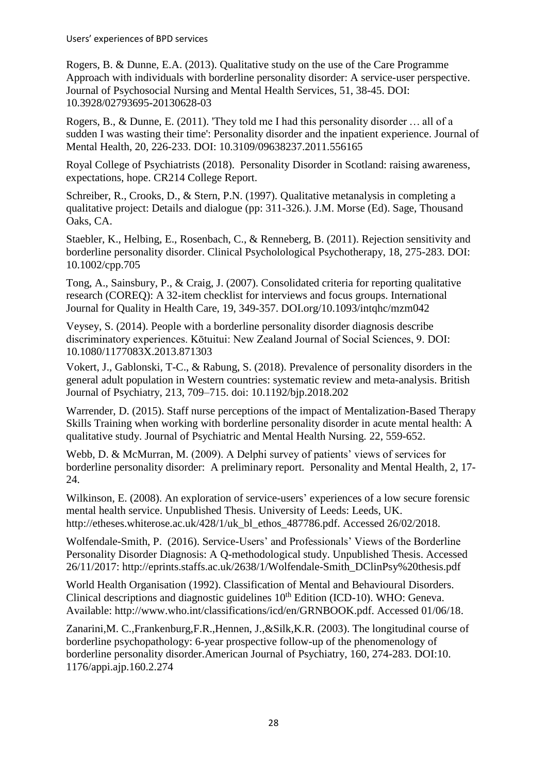Rogers, B. & Dunne, E.A. (2013). Qualitative study on the use of the Care Programme Approach with individuals with borderline personality disorder: A service-user perspective. Journal of Psychosocial Nursing and Mental Health Services, 51, 38-45. DOI: 10.3928/02793695-20130628-03

Rogers, B., & Dunne, E. (2011). 'They told me I had this personality disorder … all of a sudden I was wasting their time': Personality disorder and the inpatient experience. Journal of Mental Health, 20, 226-233. DOI: 10.3109/09638237.2011.556165

Royal College of Psychiatrists (2018). Personality Disorder in Scotland: raising awareness, expectations, hope. CR214 College Report.

Schreiber, R., Crooks, D., & Stern, P.N. (1997). Qualitative metanalysis in completing a qualitative project: Details and dialogue (pp: 311-326.). J.M. Morse (Ed). Sage, Thousand Oaks, CA.

Staebler, K., Helbing, E., Rosenbach, C., & Renneberg, B. (2011). Rejection sensitivity and borderline personality disorder. Clinical Psycholological Psychotherapy, 18, 275-283. DOI: 10.1002/cpp.705

Tong, A., Sainsbury, P., & Craig, J. (2007). Consolidated criteria for reporting qualitative research (COREQ): A 32-item checklist for interviews and focus groups. International Journal for Quality in Health Care, 19, 349-357. [DOI.org/10.1093/intqhc/mzm042](https://doi.org/10.1093/intqhc/mzm042)

Veysey, S. (2014). People with a borderline personality disorder diagnosis describe discriminatory experiences. Kōtuitui: New Zealand Journal of Social Sciences, 9. DOI: 10.1080/1177083X.2013.871303

Vokert, J., Gablonski, T-C., & Rabung, S. (2018). Prevalence of personality disorders in the general adult population in Western countries: systematic review and meta-analysis. British Journal of Psychiatry, 213, 709–715. doi: 10.1192/bjp.2018.202

Warrender, D. (2015). Staff nurse perceptions of the impact of Mentalization-Based Therapy Skills Training when working with borderline personality disorder in acute mental health: A qualitative study. Journal of Psychiatric and Mental Health Nursing*.* 22, 559-652.

Webb, D. & McMurran, M. (2009). A Delphi survey of patients' views of services for borderline personality disorder: A preliminary report. Personality and Mental Health*,* 2, 17- 24.

Wilkinson, E. (2008). An exploration of service-users' experiences of a low secure forensic mental health service. Unpublished Thesis. University of Leeds: Leeds, UK. http://etheses.whiterose.ac.uk/428/1/uk\_bl\_ethos\_487786.pdf. Accessed 26/02/2018.

Wolfendale-Smith, P. (2016). Service-Users' and Professionals' Views of the Borderline Personality Disorder Diagnosis: A Q-methodological study. Unpublished Thesis. Accessed 26/11/2017: http://eprints.staffs.ac.uk/2638/1/Wolfendale-Smith\_DClinPsy%20thesis.pdf

World Health Organisation (1992). Classification of Mental and Behavioural Disorders. Clinical descriptions and diagnostic guidelines  $10<sup>th</sup>$  Edition (ICD-10). WHO: Geneva. Available: http://www.who.int/classifications/icd/en/GRNBOOK.pdf. Accessed 01/06/18.

Zanarini,M. C.,Frankenburg,F.R.,Hennen, J.,&Silk,K.R. (2003). The longitudinal course of borderline psychopathology: 6-year prospective follow-up of the phenomenology of borderline personality disorder.American Journal of Psychiatry, 160, 274-283. DOI:10. 1176/appi.ajp.160.2.274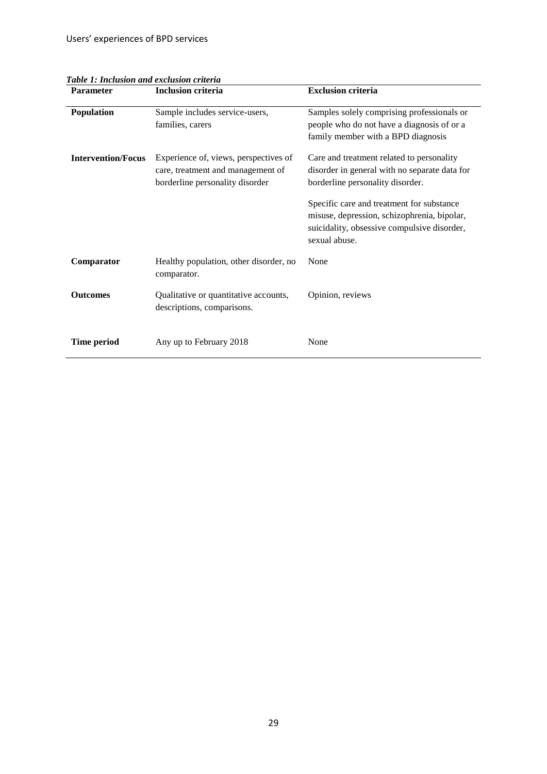| <b>Parameter</b>          | <b>Inclusion criteria</b>                                                                                     | <b>Exclusion criteria</b>                                                                                                                                |
|---------------------------|---------------------------------------------------------------------------------------------------------------|----------------------------------------------------------------------------------------------------------------------------------------------------------|
| Population                | Sample includes service-users,<br>families, carers                                                            | Samples solely comprising professionals or<br>people who do not have a diagnosis of or a<br>family member with a BPD diagnosis                           |
| <b>Intervention/Focus</b> | Experience of, views, perspectives of<br>care, treatment and management of<br>borderline personality disorder | Care and treatment related to personality<br>disorder in general with no separate data for<br>borderline personality disorder.                           |
|                           |                                                                                                               | Specific care and treatment for substance<br>misuse, depression, schizophrenia, bipolar,<br>suicidality, obsessive compulsive disorder,<br>sexual abuse. |
| Comparator                | Healthy population, other disorder, no<br>comparator.                                                         | None                                                                                                                                                     |
| <b>Outcomes</b>           | Qualitative or quantitative accounts,<br>descriptions, comparisons.                                           | Opinion, reviews                                                                                                                                         |
| Time period               | Any up to February 2018                                                                                       | None                                                                                                                                                     |

*Table 1: Inclusion and exclusion criteria*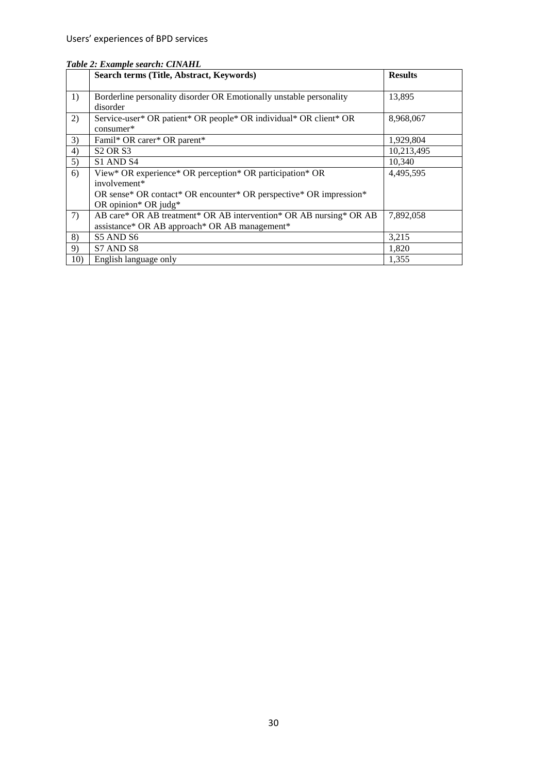|     | Search terms (Title, Abstract, Keywords)                            | <b>Results</b> |
|-----|---------------------------------------------------------------------|----------------|
| 1)  | Borderline personality disorder OR Emotionally unstable personality | 13,895         |
|     | disorder                                                            |                |
| 2)  | Service-user* OR patient* OR people* OR individual* OR client* OR   | 8,968,067      |
|     | consumer*                                                           |                |
| 3)  | Famil* OR carer* OR parent*                                         | 1,929,804      |
| 4)  | <b>S2 OR S3</b>                                                     | 10,213,495     |
| 5)  | S1 AND S4                                                           | 10,340         |
| 6)  | View* OR experience* OR perception* OR participation* OR            | 4,495,595      |
|     | involvement*                                                        |                |
|     | OR sense* OR contact* OR encounter* OR perspective* OR impression*  |                |
|     | OR opinion* OR judg*                                                |                |
| 7)  | AB care* OR AB treatment* OR AB intervention* OR AB nursing* OR AB  | 7,892,058      |
|     | assistance* OR AB approach* OR AB management*                       |                |
| 8)  | S5 AND S6                                                           | 3,215          |
| 9)  | S7 AND S8                                                           | 1,820          |
| 10) | English language only                                               | 1,355          |

## *Table 2: Example search: CINAHL*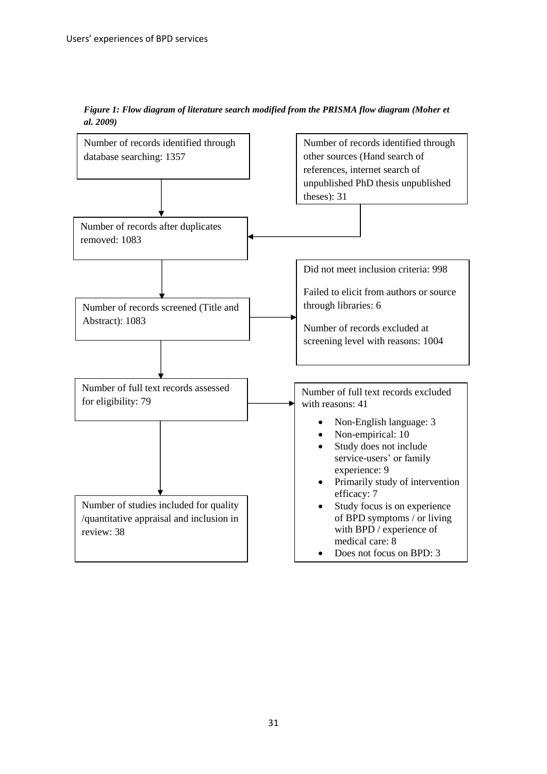

*Figure 1: Flow diagram of literature search modified from the PRISMA flow diagram (Moher et al. 2009)*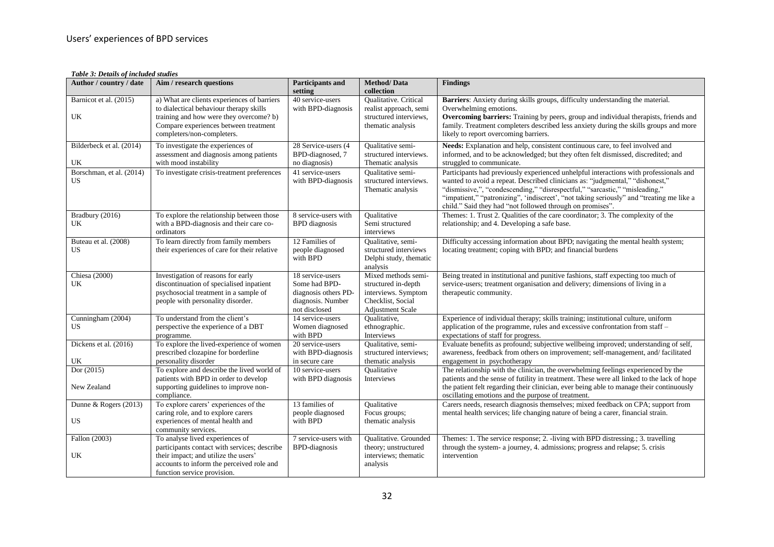*Table 3: Details of included studies*

| Author / country / date               | Aim / research questions                                                                                                                                                                                 | <b>Participants and</b><br>setting                                                              | <b>Method/Data</b><br>collection                                                                                  | <b>Findings</b>                                                                                                                                                                                                                                                                                                                                                                                                |
|---------------------------------------|----------------------------------------------------------------------------------------------------------------------------------------------------------------------------------------------------------|-------------------------------------------------------------------------------------------------|-------------------------------------------------------------------------------------------------------------------|----------------------------------------------------------------------------------------------------------------------------------------------------------------------------------------------------------------------------------------------------------------------------------------------------------------------------------------------------------------------------------------------------------------|
| Barnicot et al. (2015)<br>UK          | a) What are clients experiences of barriers<br>to dialectical behaviour therapy skills<br>training and how were they overcome? b)<br>Compare experiences between treatment<br>completers/non-completers. | 40 service-users<br>with BPD-diagnosis                                                          | Qualitative. Critical<br>realist approach, semi<br>structured interviews,<br>thematic analysis                    | Barriers: Anxiety during skills groups, difficulty understanding the material.<br>Overwhelming emotions.<br>Overcoming barriers: Training by peers, group and individual therapists, friends and<br>family. Treatment completers described less anxiety during the skills groups and more<br>likely to report overcoming barriers.                                                                             |
| Bilderbeck et al. (2014)<br>UK        | To investigate the experiences of<br>assessment and diagnosis among patients<br>with mood instability                                                                                                    | 28 Service-users (4<br>BPD-diagnosed, 7<br>no diagnosis)                                        | Qualitative semi-<br>structured interviews.<br>Thematic analysis                                                  | Needs: Explanation and help, consistent continuous care, to feel involved and<br>informed, and to be acknowledged; but they often felt dismissed, discredited; and<br>struggled to communicate.                                                                                                                                                                                                                |
| Borschman, et al. (2014)<br><b>US</b> | To investigate crisis-treatment preferences                                                                                                                                                              | 41 service-users<br>with BPD-diagnosis                                                          | <b>Oualitative semi-</b><br>structured interviews.<br>Thematic analysis                                           | Participants had previously experienced unhelpful interactions with professionals and<br>wanted to avoid a repeat. Described clinicians as: "judgmental," "dishonest,"<br>"dismissive,", "condescending," "disrespectful," "sarcastic," "misleading,"<br>"impatient," "patronizing", 'indiscreet', "not taking seriously" and "treating me like a<br>child." Said they had "not followed through on promises". |
| Bradbury (2016)<br>UK                 | To explore the relationship between those<br>with a BPD-diagnosis and their care co-<br>ordinators                                                                                                       | 8 service-users with<br><b>BPD</b> diagnosis                                                    | <b>Oualitative</b><br>Semi structured<br>interviews                                                               | Themes: 1. Trust 2. Qualities of the care coordinator; 3. The complexity of the<br>relationship; and 4. Developing a safe base.                                                                                                                                                                                                                                                                                |
| Buteau et al. (2008)<br><b>US</b>     | To learn directly from family members<br>their experiences of care for their relative                                                                                                                    | 12 Families of<br>people diagnosed<br>with BPD                                                  | Oualitative, semi-<br>structured interviews<br>Delphi study, thematic<br>analysis                                 | Difficulty accessing information about BPD; navigating the mental health system;<br>locating treatment; coping with BPD; and financial burdens                                                                                                                                                                                                                                                                 |
| Chiesa (2000)<br>UK                   | Investigation of reasons for early<br>discontinuation of specialised inpatient<br>psychosocial treatment in a sample of<br>people with personality disorder.                                             | 18 service-users<br>Some had BPD-<br>diagnosis others PD-<br>diagnosis. Number<br>not disclosed | Mixed methods semi-<br>structured in-depth<br>interviews. Symptom<br>Checklist, Social<br><b>Adjustment Scale</b> | Being treated in institutional and punitive fashions, staff expecting too much of<br>service-users; treatment organisation and delivery; dimensions of living in a<br>therapeutic community.                                                                                                                                                                                                                   |
| Cunningham (2004)<br>US               | To understand from the client's<br>perspective the experience of a DBT<br>programme.                                                                                                                     | 14 service-users<br>Women diagnosed<br>with BPD                                                 | Qualitative,<br>ethnographic.<br>Interviews                                                                       | Experience of individual therapy; skills training; institutional culture, uniform<br>application of the programme, rules and excessive confrontation from staff –<br>expectations of staff for progress.                                                                                                                                                                                                       |
| Dickens et al. (2016)<br>UK           | To explore the lived-experience of women<br>prescribed clozapine for borderline<br>personality disorder                                                                                                  | 20 service-users<br>with BPD-diagnosis<br>in secure care                                        | Qualitative, semi-<br>structured interviews;<br>thematic analysis                                                 | Evaluate benefits as profound; subjective wellbeing improved; understanding of self,<br>awareness, feedback from others on improvement; self-management, and/facilitated<br>engagement in psychotherapy                                                                                                                                                                                                        |
| Dor (2015)<br>New Zealand             | To explore and describe the lived world of<br>patients with BPD in order to develop<br>supporting guidelines to improve non-<br>compliance.                                                              | 10 service-users<br>with BPD diagnosis                                                          | Oualitative<br>Interviews                                                                                         | The relationship with the clinician, the overwhelming feelings experienced by the<br>patients and the sense of futility in treatment. These were all linked to the lack of hope<br>the patient felt regarding their clinician, ever being able to manage their continuously<br>oscillating emotions and the purpose of treatment.                                                                              |
| Dunne & Rogers (2013)<br>US.          | To explore carers' experiences of the<br>caring role, and to explore carers<br>experiences of mental health and<br>community services.                                                                   | 13 families of<br>people diagnosed<br>with BPD                                                  | <b>Oualitative</b><br>Focus groups;<br>thematic analysis                                                          | Carers needs, research diagnosis themselves; mixed feedback on CPA; support from<br>mental health services; life changing nature of being a carer, financial strain.                                                                                                                                                                                                                                           |
| Fallon (2003)<br>UK                   | To analyse lived experiences of<br>participants contact with services; describe<br>their impact; and utilize the users'<br>accounts to inform the perceived role and<br>function service provision.      | 7 service-users with<br><b>BPD-diagnosis</b>                                                    | Qualitative. Grounded<br>theory; unstructured<br>interviews; thematic<br>analysis                                 | Themes: 1. The service response; 2. -living with BPD distressing.; 3. travelling<br>through the system- a journey, 4. admissions; progress and relapse; 5. crisis<br>intervention                                                                                                                                                                                                                              |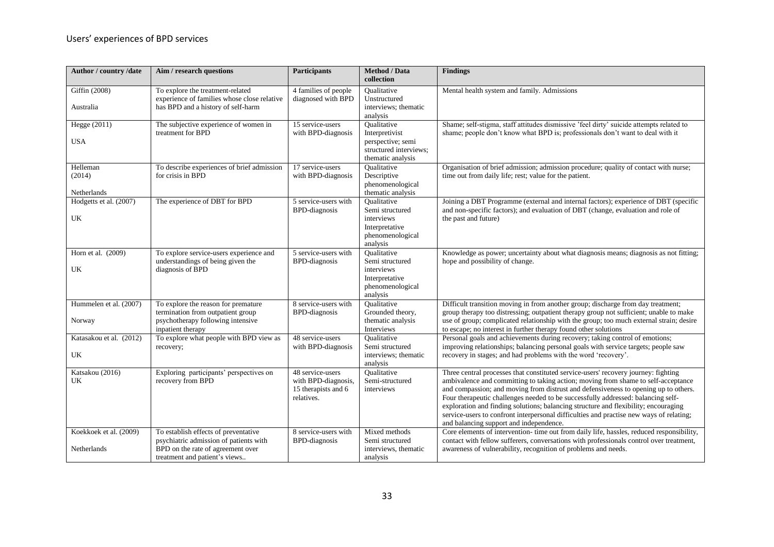| Author / country /date                | Aim / research questions                                                                                                                             | <b>Participants</b>                                                          | <b>Method</b> / Data<br>collection                                                                | <b>Findings</b>                                                                                                                                                                                                                                                                                                                                                                                                                                                                                                                                                                 |
|---------------------------------------|------------------------------------------------------------------------------------------------------------------------------------------------------|------------------------------------------------------------------------------|---------------------------------------------------------------------------------------------------|---------------------------------------------------------------------------------------------------------------------------------------------------------------------------------------------------------------------------------------------------------------------------------------------------------------------------------------------------------------------------------------------------------------------------------------------------------------------------------------------------------------------------------------------------------------------------------|
| Giffin (2008)<br>Australia            | To explore the treatment-related<br>experience of families whose close relative<br>has BPD and a history of self-harm                                | 4 families of people<br>diagnosed with BPD                                   | Oualitative<br>Unstructured<br>interviews; thematic<br>analysis                                   | Mental health system and family. Admissions                                                                                                                                                                                                                                                                                                                                                                                                                                                                                                                                     |
| Hegge (2011)<br><b>USA</b>            | The subjective experience of women in<br>treatment for BPD                                                                                           | 15 service-users<br>with BPD-diagnosis                                       | Oualitative<br>Interpretivist<br>perspective; semi<br>structured interviews:<br>thematic analysis | Shame; self-stigma, staff attitudes dismissive 'feel dirty' suicide attempts related to<br>shame; people don't know what BPD is; professionals don't want to deal with it                                                                                                                                                                                                                                                                                                                                                                                                       |
| Helleman<br>(2014)<br>Netherlands     | To describe experiences of brief admission<br>for crisis in BPD                                                                                      | 17 service-users<br>with BPD-diagnosis                                       | <b>Oualitative</b><br>Descriptive<br>phenomenological<br>thematic analysis                        | Organisation of brief admission; admission procedure; quality of contact with nurse;<br>time out from daily life; rest; value for the patient.                                                                                                                                                                                                                                                                                                                                                                                                                                  |
| Hodgetts et al. (2007)<br>UK          | The experience of DBT for BPD                                                                                                                        | 5 service-users with<br><b>BPD-diagnosis</b>                                 | Qualitative<br>Semi structured<br>interviews<br>Interpretative<br>phenomenological<br>analysis    | Joining a DBT Programme (external and internal factors); experience of DBT (specific<br>and non-specific factors); and evaluation of DBT (change, evaluation and role of<br>the past and future)                                                                                                                                                                                                                                                                                                                                                                                |
| Horn et al. $(2009)$<br>UK            | To explore service-users experience and<br>understandings of being given the<br>diagnosis of BPD                                                     | 5 service-users with<br><b>BPD-diagnosis</b>                                 | Qualitative<br>Semi structured<br>interviews<br>Interpretative<br>phenomenological<br>analysis    | Knowledge as power; uncertainty about what diagnosis means; diagnosis as not fitting;<br>hope and possibility of change.                                                                                                                                                                                                                                                                                                                                                                                                                                                        |
| Hummelen et al. (2007)<br>Norway      | To explore the reason for premature<br>termination from outpatient group<br>psychotherapy following intensive<br>inpatient therapy                   | 8 service-users with<br><b>BPD-diagnosis</b>                                 | <b>Oualitative</b><br>Grounded theory,<br>thematic analysis<br>Interviews                         | Difficult transition moving in from another group; discharge from day treatment;<br>group therapy too distressing; outpatient therapy group not sufficient; unable to make<br>use of group; complicated relationship with the group; too much external strain; desire<br>to escape; no interest in further therapy found other solutions                                                                                                                                                                                                                                        |
| Katasakou et al. (2012)<br>UK         | To explore what people with BPD view as<br>recovery;                                                                                                 | 48 service-users<br>with BPD-diagnosis                                       | <b>Oualitative</b><br>Semi structured<br>interviews; thematic<br>analysis                         | Personal goals and achievements during recovery; taking control of emotions;<br>improving relationships; balancing personal goals with service targets; people saw<br>recovery in stages; and had problems with the word 'recovery'.                                                                                                                                                                                                                                                                                                                                            |
| Katsakou (2016)<br>UK                 | Exploring participants' perspectives on<br>recovery from BPD                                                                                         | 48 service-users<br>with BPD-diagnosis,<br>15 therapists and 6<br>relatives. | <b>Oualitative</b><br>Semi-structured<br>interviews                                               | Three central processes that constituted service-users' recovery journey: fighting<br>ambivalence and committing to taking action; moving from shame to self-acceptance<br>and compassion; and moving from distrust and defensiveness to opening up to others.<br>Four therapeutic challenges needed to be successfully addressed: balancing self-<br>exploration and finding solutions; balancing structure and flexibility; encouraging<br>service-users to confront interpersonal difficulties and practise new ways of relating;<br>and balancing support and independence. |
| Koekkoek et al. (2009)<br>Netherlands | To establish effects of preventative<br>psychiatric admission of patients with<br>BPD on the rate of agreement over<br>treatment and patient's views | 8 service-users with<br><b>BPD-diagnosis</b>                                 | Mixed methods<br>Semi structured<br>interviews, thematic<br>analysis                              | Core elements of intervention- time out from daily life, hassles, reduced responsibility,<br>contact with fellow sufferers, conversations with professionals control over treatment,<br>awareness of vulnerability, recognition of problems and needs.                                                                                                                                                                                                                                                                                                                          |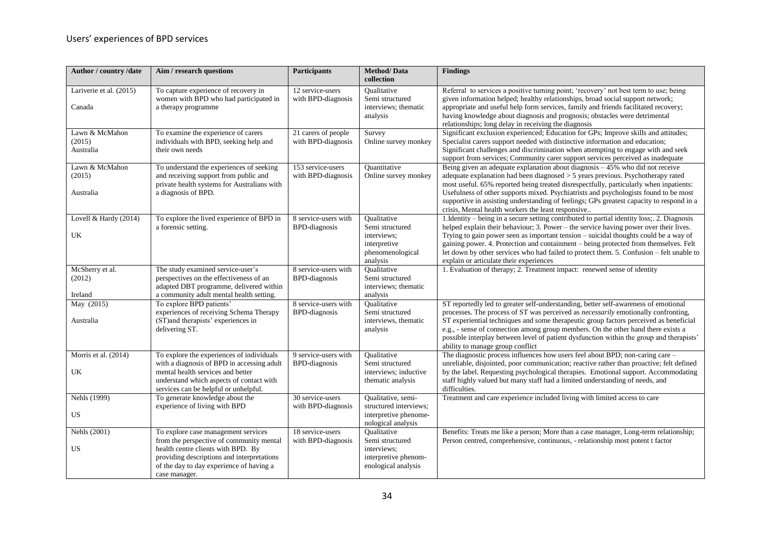| Author / country /date                | Aim / research questions                                                                                                                                                                                                         | Participants                                 | <b>Method/Data</b><br>collection                                                                    | <b>Findings</b>                                                                                                                                                                                                                                                                                                                                                                                                                                                                                            |
|---------------------------------------|----------------------------------------------------------------------------------------------------------------------------------------------------------------------------------------------------------------------------------|----------------------------------------------|-----------------------------------------------------------------------------------------------------|------------------------------------------------------------------------------------------------------------------------------------------------------------------------------------------------------------------------------------------------------------------------------------------------------------------------------------------------------------------------------------------------------------------------------------------------------------------------------------------------------------|
| Lariverie et al. (2015)<br>Canada     | To capture experience of recovery in<br>women with BPD who had participated in<br>a therapy programme                                                                                                                            | 12 service-users<br>with BPD-diagnosis       | Oualitative<br>Semi structured<br>interviews; thematic<br>analysis                                  | Referral to services a positive turning point; 'recovery' not best term to use; being<br>given information helped; healthy relationships, broad social support network;<br>appropriate and useful help form services, family and friends facilitated recovery;<br>having knowledge about diagnosis and prognosis; obstacles were detrimental<br>relationships; long delay in receiving the diagnosis                                                                                                       |
| Lawn & McMahon<br>(2015)<br>Australia | To examine the experience of carers<br>individuals with BPD, seeking help and<br>their own needs                                                                                                                                 | 21 carers of people<br>with BPD-diagnosis    | Survey<br>Online survey monkey                                                                      | Significant exclusion experienced; Education for GPs; Improve skills and attitudes;<br>Specialist carers support needed with distinctive information and education;<br>Significant challenges and discrimination when attempting to engage with and seek<br>support from services; Community carer support services perceived as inadequate                                                                                                                                                                |
| Lawn & McMahon<br>(2015)<br>Australia | To understand the experiences of seeking<br>and receiving support from public and<br>private health systems for Australians with<br>a diagnosis of BPD.                                                                          | 153 service-users<br>with BPD-diagnosis      | Quantitative<br>Online survey monkey                                                                | Being given an adequate explanation about diagnosis $-45\%$ who did not receive<br>adequate explanation had been diagnosed $>$ 5 years previous. Psychotherapy rated<br>most useful. 65% reported being treated disrespectfully, particularly when inpatients:<br>Usefulness of other supports mixed. Psychiatrists and psychologists found to be most<br>supportive in assisting understanding of feelings; GPs greatest capacity to respond in a<br>crisis, Mental health workers the least responsive   |
| Lovell & Hardy (2014)<br>UK           | To explore the lived experience of BPD in<br>a forensic setting.                                                                                                                                                                 | 8 service-users with<br><b>BPD-diagnosis</b> | Oualitative<br>Semi structured<br>interviews:<br>interpretive<br>phenomenological<br>analysis       | 1. Identity – being in a secure setting contributed to partial identity loss; 2. Diagnosis<br>helped explain their behaviour; 3. Power - the service having power over their lives.<br>Trying to gain power seen as important tension – suicidal thoughts could be a way of<br>gaining power. 4. Protection and containment – being protected from themselves. Felt<br>let down by other services who had failed to protect them. 5. Confusion – felt unable to<br>explain or articulate their experiences |
| McSherry et al.<br>(2012)<br>Ireland  | The study examined service-user's<br>perspectives on the effectiveness of an<br>adapted DBT programme, delivered within<br>a community adult mental health setting.                                                              | 8 service-users with<br><b>BPD-diagnosis</b> | Oualitative<br>Semi structured<br>interviews; thematic<br>analysis                                  | 1. Evaluation of therapy; 2. Treatment impact: renewed sense of identity                                                                                                                                                                                                                                                                                                                                                                                                                                   |
| May (2015)<br>Australia               | To explore BPD patients'<br>experiences of receiving Schema Therapy<br>(ST)and therapists' experiences in<br>delivering ST.                                                                                                      | 8 service-users with<br><b>BPD-diagnosis</b> | Oualitative<br>Semi structured<br>interviews, thematic<br>analysis                                  | ST reportedly led to greater self-understanding, better self-awareness of emotional<br>processes. The process of ST was perceived as <i>necessarily</i> emotionally confronting,<br>ST experiential techniques and some therapeutic group factors perceived as beneficial<br>e.g., - sense of connection among group members. On the other hand there exists a<br>possible interplay between level of patient dysfunction within the group and therapists'<br>ability to manage group conflict             |
| Morris et al. (2014)<br>UK            | To explore the experiences of individuals<br>with a diagnosis of BPD in accessing adult<br>mental health services and better<br>understand which aspects of contact with<br>services can be helpful or unhelpful.                | 9 service-users with<br><b>BPD-diagnosis</b> | <b>Oualitative</b><br>Semi structured<br>interviews; inductive<br>thematic analysis                 | The diagnostic process influences how users feel about BPD; non-caring care -<br>unreliable, disjointed, poor communication; reactive rather than proactive; felt defined<br>by the label. Requesting psychological therapies. Emotional support. Accommodating<br>staff highly valued but many staff had a limited understanding of needs, and<br>difficulties.                                                                                                                                           |
| Nehls (1999)<br>US                    | To generate knowledge about the<br>experience of living with BPD                                                                                                                                                                 | 30 service-users<br>with BPD-diagnosis       | Qualitative, semi-<br>structured interviews;<br>interpretive phenome-<br>nological analysis         | Treatment and care experience included living with limited access to care                                                                                                                                                                                                                                                                                                                                                                                                                                  |
| Nehls (2001)<br>US                    | To explore case management services<br>from the perspective of community mental<br>health centre clients with BPD. By<br>providing descriptions and interpretations<br>of the day to day experience of having a<br>case manager. | 18 service-users<br>with BPD-diagnosis       | <b>Oualitative</b><br>Semi structured<br>interviews;<br>interpretive phenom-<br>enological analysis | Benefits: Treats me like a person; More than a case manager, Long-term relationship;<br>Person centred, comprehensive, continuous, - relationship most potent t factor                                                                                                                                                                                                                                                                                                                                     |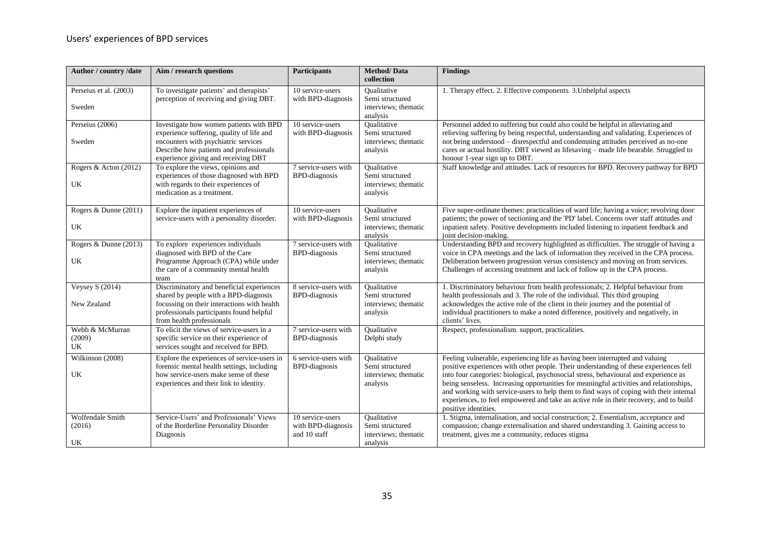| Author / country /date                | Aim / research questions                                                                                                                                                                                       | <b>Participants</b>                                       | <b>Method/Data</b><br>collection                                          | <b>Findings</b>                                                                                                                                                                                                                                                                                                                                                                                                                                                                                                                                                     |
|---------------------------------------|----------------------------------------------------------------------------------------------------------------------------------------------------------------------------------------------------------------|-----------------------------------------------------------|---------------------------------------------------------------------------|---------------------------------------------------------------------------------------------------------------------------------------------------------------------------------------------------------------------------------------------------------------------------------------------------------------------------------------------------------------------------------------------------------------------------------------------------------------------------------------------------------------------------------------------------------------------|
| Perseius et al. (2003)<br>Sweden      | To investigate patients' and therapists'<br>perception of receiving and giving DBT.                                                                                                                            | 10 service-users<br>with BPD-diagnosis                    | <b>Oualitative</b><br>Semi structured<br>interviews: thematic<br>analysis | 1. Therapy effect. 2. Effective components. 3. Unhelpful aspects                                                                                                                                                                                                                                                                                                                                                                                                                                                                                                    |
| Perseius (2006)<br>Sweden             | Investigate how women patients with BPD<br>experience suffering, quality of life and<br>encounters with psychiatric services<br>Describe how patients and professionals<br>experience giving and receiving DBT | 10 service-users<br>with BPD-diagnosis                    | Oualitative<br>Semi structured<br>interviews; thematic<br>analysis        | Personnel added to suffering but could also could be helpful in alleviating and<br>relieving suffering by being respectful, understanding and validating. Experiences of<br>not being understood - disrespectful and condemning attitudes perceived as no-one<br>cares or actual hostility. DBT viewed as lifesaving - made life bearable. Struggled to<br>honour 1-year sign up to DBT.                                                                                                                                                                            |
| Rogers & Acton (2012)<br>UK           | To explore the views, opinions and<br>experiences of those diagnosed with BPD<br>with regards to their experiences of<br>medication as a treatment.                                                            | $\overline{7}$ service-users with<br><b>BPD-diagnosis</b> | <b>Oualitative</b><br>Semi structured<br>interviews; thematic<br>analysis | Staff knowledge and attitudes. Lack of resources for BPD. Recovery pathway for BPD                                                                                                                                                                                                                                                                                                                                                                                                                                                                                  |
| Rogers & Dunne (2011)<br>UK           | Explore the inpatient experiences of<br>service-users with a personality disorder.                                                                                                                             | 10 service-users<br>with BPD-diagnosis                    | Oualitative<br>Semi structured<br>interviews; thematic<br>analysis        | Five super-ordinate themes: practicalities of ward life; having a voice; revolving door<br>patients; the power of sectioning and the 'PD' label. Concerns over staff attitudes and<br>inpatient safety. Positive developments included listening to inpatient feedback and<br>joint decision-making.                                                                                                                                                                                                                                                                |
| Rogers & Dunne (2013)<br>UK           | To explore experiences individuals<br>diagnosed with BPD of the Care<br>Programme Approach (CPA) while under<br>the care of a community mental health<br>team                                                  | 7 service-users with<br><b>BPD-diagnosis</b>              | <b>Oualitative</b><br>Semi structured<br>interviews: thematic<br>analysis | Understanding BPD and recovery highlighted as difficulties. The struggle of having a<br>voice in CPA meetings and the lack of information they received in the CPA process.<br>Deliberation between progression versus consistency and moving on from services.<br>Challenges of accessing treatment and lack of follow up in the CPA process.                                                                                                                                                                                                                      |
| <b>Veysey S (2014)</b><br>New Zealand | Discriminatory and beneficial experiences<br>shared by people with a BPD-diagnosis<br>focussing on their interactions with health<br>professionals participants found helpful<br>from health professionals     | 8 service-users with<br><b>BPD-diagnosis</b>              | <b>Oualitative</b><br>Semi structured<br>interviews; thematic<br>analysis | 1. Discriminatory behaviour from health professionals; 2. Helpful behaviour from<br>health professionals and 3. The role of the individual. This third grouping<br>acknowledges the active role of the client in their journey and the potential of<br>individual practitioners to make a noted difference, positively and negatively, in<br>clients' lives.                                                                                                                                                                                                        |
| Webb & McMurran<br>(2009)<br>UK       | To elicit the views of service-users in a<br>specific service on their experience of<br>services sought and received for BPD.                                                                                  | 7 service-users with<br><b>BPD-diagnosis</b>              | Oualitative<br>Delphi study                                               | Respect, professionalism. support, practicalities.                                                                                                                                                                                                                                                                                                                                                                                                                                                                                                                  |
| Wilkinson (2008)<br>UK                | Explore the experiences of service-users in<br>forensic mental health settings, including<br>how service-users make sense of these<br>experiences and their link to identity.                                  | 6 service-users with<br><b>BPD-diagnosis</b>              | <b>Oualitative</b><br>Semi structured<br>interviews; thematic<br>analysis | Feeling vulnerable, experiencing life as having been interrupted and valuing<br>positive experiences with other people. Their understanding of these experiences fell<br>into four categories: biological, psychosocial stress, behavioural and experience as<br>being senseless. Increasing opportunities for meaningful activities and relationships,<br>and working with service-users to help them to find ways of coping with their internal<br>experiences, to feel empowered and take an active role in their recovery, and to build<br>positive identities. |
| Wolfendale Smith<br>(2016)<br>UK      | Service-Users' and Professionals' Views<br>of the Borderline Personality Disorder<br>Diagnosis                                                                                                                 | 10 service-users<br>with BPD-diagnosis<br>and 10 staff    | <b>Qualitative</b><br>Semi structured<br>interviews; thematic<br>analysis | 1. Stigma, internalisation, and social construction; 2. Essentialism, acceptance and<br>compassion; change externalisation and shared understanding 3. Gaining access to<br>treatment, gives me a community, reduces stigma                                                                                                                                                                                                                                                                                                                                         |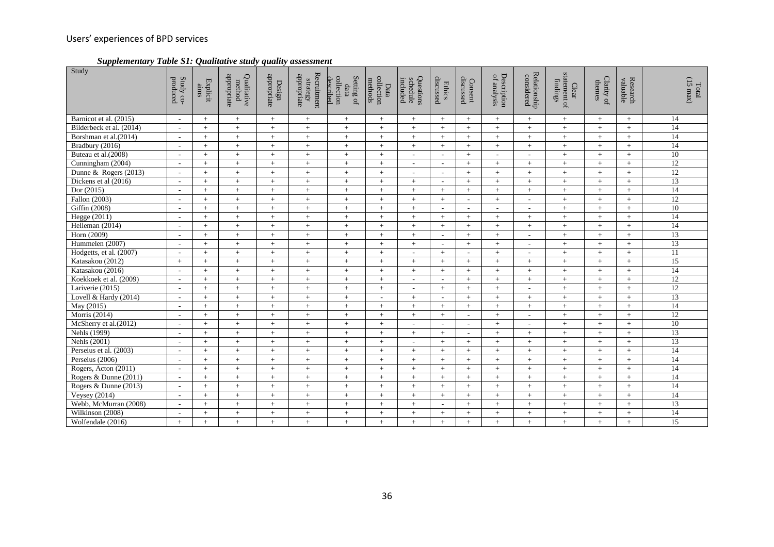*Supplementary Table S1: Qualitative study quality assessment*

| Study                    | Study co-<br>produced    | Explicit<br>aims | appropriate<br>Qualitative<br>method | appropriate<br>Design | Recruitment<br>$% \begin{tabular}{l} \includegraphics[width=0.8\textwidth]{figures/h} \end{tabular} \vspace{-1.5mm} \caption{The number of different values of the number of data. The number of data represents the number of data.} \label{fig:1}$ | Setting of<br>described<br>collection<br>data | collection<br>methods<br>Data | Questions<br><i>schedule</i><br>included | discussed<br><b>Ethics</b>  | discussed<br>Consent     | Description<br>of analysis | Relationship<br>considered | statement of<br>findings<br>${\bf C}$ lear | Clarity of<br>themes | Research<br>valuable | $\begin{array}{c} \rm Total \\ \rm (15\; max) \end{array}$ |
|--------------------------|--------------------------|------------------|--------------------------------------|-----------------------|------------------------------------------------------------------------------------------------------------------------------------------------------------------------------------------------------------------------------------------------------|-----------------------------------------------|-------------------------------|------------------------------------------|-----------------------------|--------------------------|----------------------------|----------------------------|--------------------------------------------|----------------------|----------------------|------------------------------------------------------------|
| Barnicot et al. (2015)   | $\sim$                   | $+$              | $+$                                  | $+$                   | $\,+\,$                                                                                                                                                                                                                                              | $+$                                           | $+$                           | $+$                                      | $+$                         | $+$                      | $+$                        | $+$                        | $+$                                        | $+$                  | $+$                  | 14                                                         |
| Bilderbeck et al. (2014) | $\overline{\phantom{a}}$ | $+$              | $+$                                  | $+$                   | $+$                                                                                                                                                                                                                                                  | $+$                                           | $+$                           | $+$                                      | $+$                         | $+$                      | $+$                        | $+$                        | $+$                                        | $+$                  | $+$                  | 14                                                         |
| Borshman et al.(2014)    | $\sim$                   | $+$              | $\! +$                               | $+$                   | $\, +$                                                                                                                                                                                                                                               | $\pm$                                         | $+$                           | $+$                                      | $+$                         | $+$                      | $+$                        | $\! +$                     | $\, +$                                     | $+$                  | $+$                  | 14                                                         |
| Bradbury (2016)          | $\sim$                   | $+$              | $+$                                  | $+$                   | $+$                                                                                                                                                                                                                                                  | $+$                                           | $+$                           | $+$                                      | $+$                         | $+$                      | $+$                        | $+$                        | $+$                                        | $+$                  | $+$                  | 14                                                         |
| Buteau et al.(2008)      | $\overline{\phantom{a}}$ | $+$              | $+$                                  | $+$                   | $+$                                                                                                                                                                                                                                                  | $+$                                           | $+$                           | $\overline{\phantom{a}}$                 | $\sim$                      | $+$                      | $\overline{\phantom{a}}$   | $\sim$                     | $\pm$                                      | $+$                  | $+$                  | 10                                                         |
| Cunningham (2004)        | $\sim$                   | $+$              | $+$                                  | $+$                   | $+$                                                                                                                                                                                                                                                  | $+$                                           | $+$                           | $\sim$                                   | $\sim$                      | $+$                      | $+$                        | $+$                        | $\pm$                                      | $+$                  | $+$                  | $\overline{12}$                                            |
| Dunne & Rogers $(2013)$  |                          | $+$              | $+$                                  | $+$                   | $+$                                                                                                                                                                                                                                                  | $+$                                           | $+$                           | $\overline{\phantom{a}}$                 | $\overline{\phantom{a}}$    | $+$                      | $+$                        | $+$                        | $+$                                        | $+$                  | $+$                  | $\overline{12}$                                            |
| Dickens et al (2016)     | $\sim$                   | $+$              | $+$                                  | $+$                   | $+$                                                                                                                                                                                                                                                  | $+$                                           | $+$                           | $+$                                      | $\sim$                      | $+$                      | $+$                        | $+$                        | $+$                                        | $+$                  | $+$                  | $\overline{13}$                                            |
| Dor $(2015)$             | $\sim$                   | $+$              | $+$                                  | $+$                   | $+$                                                                                                                                                                                                                                                  | $+$                                           | $+$                           | $+$                                      | $+$                         | $+$                      | $+$                        | $+$                        | $+$                                        | $+$                  | $+$                  | 14                                                         |
| Fallon (2003)            |                          | $+$              | $+$                                  | $+$                   | $+$                                                                                                                                                                                                                                                  | $+$                                           | $+$                           | $+$                                      | $+$                         | $\sim$                   | $+$                        | $\sim$                     | $\pm$                                      | $+$                  | $+$                  | 12                                                         |
| Giffin (2008)            | $\sim$                   | $+$              | $+$                                  | $+$                   | $+$                                                                                                                                                                                                                                                  | $+$                                           | $+$                           | $+$                                      | $\sim$                      | $\sim$                   | $\overline{\phantom{a}}$   | $\blacksquare$             | $+$                                        | $+$                  | $+$                  | 10                                                         |
| Hegge (2011)             | $\sim$                   | $+$              | $+$                                  | $+$                   | $+$                                                                                                                                                                                                                                                  | $+$                                           | $+$                           | $+$                                      | $+$                         | $+$                      | $+$                        | $+$                        | $+$                                        | $+$                  | $+$                  | 14                                                         |
| Helleman (2014)          | $\overline{\phantom{a}}$ | $+$              | $\! +$                               | $\, +$                | $\, +$                                                                                                                                                                                                                                               | $\! +$                                        | $+$                           | $+$                                      | $+$                         | $+$                      |                            | $\boldsymbol{+}$           | $\, +$                                     | $+$                  | $+$                  | 14                                                         |
| Horn (2009)              | $\sim$                   | $+$              | $+$                                  | $+$                   | $\, +$                                                                                                                                                                                                                                               | $+$                                           | $+$                           | $+$                                      | $\mathcal{L}^{\mathcal{A}}$ | $+$                      | $+$                        | $\sim$                     | $\pm$                                      | $+$                  | $+$                  | $\overline{13}$                                            |
| Hummelen (2007)          | $\overline{\phantom{a}}$ | $+$              | $+$                                  | $+$                   | $+$                                                                                                                                                                                                                                                  | $+$                                           | $+$                           | $+$                                      | $\overline{\phantom{a}}$    | $+$                      | $+$                        | $\overline{\phantom{a}}$   | $\pm$                                      | $+$                  | $+$                  | $\overline{13}$                                            |
| Hodgetts, et al. (2007)  | $\overline{\phantom{a}}$ | $+$              | $+$                                  | $+$                   | $+$                                                                                                                                                                                                                                                  | $+$                                           | $+$                           | $\sim$                                   | $+$                         | $\sim$                   | $+$                        | $\sim$                     | $\pm$                                      | $+$                  | $+$                  | 11                                                         |
| Katasakou (2012)         | $+$                      | $+$              | $+$                                  | $+$                   | $+$                                                                                                                                                                                                                                                  | $+$                                           | $+$                           | $+$                                      | $+$                         | $+$                      | $+$                        | $+$                        | $+$                                        | $+$                  | $+$                  | 15                                                         |
| Katasakou (2016)         | $\sim$                   | $+$              | $+$                                  | $+$                   | $\,+\,$                                                                                                                                                                                                                                              | $+$                                           | $+$                           | $+$                                      | $+$                         | $+$                      | $+$                        | $\qquad \qquad +$          | $+$                                        | $+$                  | $+$                  | 14                                                         |
| Koekkoek et al. (2009)   | $\overline{\phantom{a}}$ | $+$              | $+$                                  | $+$                   | $+$                                                                                                                                                                                                                                                  | $+$                                           | $+$                           | $\sim$                                   | $\sim$                      | $+$                      | $+$                        | $\! +$                     | $\pm$                                      | $+$                  | $+$                  | 12                                                         |
| Lariverie (2015)         |                          | $+$              | $+$                                  | $+$                   | $+$                                                                                                                                                                                                                                                  | $+$                                           | $+$                           | $\overline{\phantom{a}}$                 | $+$                         | $+$                      | $+$                        | $\blacksquare$             | $+$                                        | $+$                  | $+$                  | 12                                                         |
| Lovell & Hardy (2014)    | $\sim$                   | $+$              | $+$                                  | $\, +$                | $\, +$                                                                                                                                                                                                                                               | $\! +$                                        | $\sim$                        | $+$                                      | $\sim$                      | $+$                      | $\, +$                     | $\qquad \qquad +$          | $\, +$                                     | $\! +$               | $+$                  | 13                                                         |
| May (2015)               | $\sim$                   | $+$              | $+$                                  | $+$                   | $\qquad \qquad +$                                                                                                                                                                                                                                    | $+$                                           | $+$                           | $+$                                      | $+$                         | $+$                      | $+$                        | $+$                        | $+$                                        | $+$                  | $+$                  | 14                                                         |
| Morris (2014)            | $\overline{\phantom{a}}$ | $+$              | $+$                                  | $+$                   | $+$                                                                                                                                                                                                                                                  | $+$                                           | $+$                           | $+$                                      | $+$                         | $\overline{\phantom{a}}$ | $+$                        | $\overline{\phantom{a}}$   | $+$                                        | $+$                  | $\ddot{+}$           | 12                                                         |
| McSherry et al.(2012)    | $\sim$                   | $+$              | $\, +$                               | $+$                   | $\qquad \qquad +$                                                                                                                                                                                                                                    | $+$                                           | $+$                           | $\overline{a}$                           | $\sim$                      | $\overline{a}$           | $+$                        | $\overline{\phantom{a}}$   | $+$                                        | $+$                  | $+$                  | $\overline{10}$                                            |
| Nehls (1999)             | $\overline{\phantom{a}}$ | $+$              | $+$                                  | $+$                   | $\,+\,$                                                                                                                                                                                                                                              | $+$                                           | $+$                           | $+$                                      | $+$                         | $\sim$                   | $+$                        | $\! + \!\!\!\!$            | $\pm$                                      | $+$                  | $+$                  | 13                                                         |
| Nehls (2001)             | $\overline{\phantom{a}}$ | $+$              | $+$                                  | $+$                   | $+$                                                                                                                                                                                                                                                  | $+$                                           | $+$                           | $\sim$                                   | $+$                         | $+$                      | $+$                        | $\! +$                     | $\, +$                                     | $+$                  | $+$                  | 13                                                         |
| Perseius et al. (2003)   | $\sim$                   | $+$              | $+$                                  | $+$                   | $\, +$                                                                                                                                                                                                                                               | $+$                                           | $+$                           | $+$                                      | $+$                         | $+$                      | $+$                        | $+$                        | $\, +$                                     | $+$                  | $+$                  | 14                                                         |
| Perseius (2006)          | $\overline{\phantom{a}}$ | $+$              | $+$                                  | $+$                   | $+$                                                                                                                                                                                                                                                  | $+$                                           | $+$                           | $+$                                      | $+$                         | $+$                      | $+$                        | $+$                        | $+$                                        | $+$                  | $+$                  | 14                                                         |
| Rogers, Acton (2011)     | $\overline{\phantom{a}}$ | $+$              | $+$                                  | $+$                   | $+$                                                                                                                                                                                                                                                  | $+$                                           | $+$                           | $+$                                      | $+$                         | $+$                      | $+$                        | $+$                        | $+$                                        | $+$                  | $+$                  | 14                                                         |
| Rogers & Dunne (2011)    | $\sim$                   | $+$              | $+$                                  | $+$                   | $+$                                                                                                                                                                                                                                                  | $+$                                           | $+$                           | $+$                                      | $+$                         | $+$                      | $+$                        | $+$                        | $\pm$                                      | $+$                  | $+$                  | 14                                                         |
| Rogers & Dunne (2013)    | $\sim$                   | $+$              | $\! +$                               | $\, +$                | $\, +$                                                                                                                                                                                                                                               | $+$                                           | $+$                           | $+$                                      | $+$                         | $+$                      | $\, +$                     | $\! +$                     | $\! +$                                     | $+$                  | $+$                  | 14                                                         |
| <b>Veysey</b> (2014)     | $\overline{\phantom{a}}$ | $+$              | $+$                                  | $+$                   | $+$                                                                                                                                                                                                                                                  | $+$                                           | $+$                           | $+$                                      | $+$                         | $+$                      | $+$                        | $+$                        | $\pm$                                      | $+$                  | $+$                  | 14                                                         |
| Webb, McMurran (2008)    |                          | $+$              | $+$                                  | $+$                   | $+$                                                                                                                                                                                                                                                  | $+$                                           | $+$                           | $+$                                      | $\overline{\phantom{a}}$    | $+$                      | $+$                        | $+$                        | $+$                                        | $+$                  | $+$                  | 13                                                         |
| Wilkinson (2008)         | $\sim$                   | $+$              | $+$                                  | $+$                   | $\boldsymbol{+}$                                                                                                                                                                                                                                     | $+$                                           | $+$                           | $+$                                      | $+$                         | $^{+}$                   | $+$                        | $\! +$                     | $\, +$                                     | $+$                  | $+$                  | 14                                                         |
| Wolfendale (2016)        | $+$                      | $+$              | $+$                                  | $+$                   | $+$                                                                                                                                                                                                                                                  | $+$                                           | $+$                           | $+$                                      | $+$                         | $+$                      | $+$                        | $+$                        | $+$                                        | $+$                  | $+$                  | $\overline{15}$                                            |